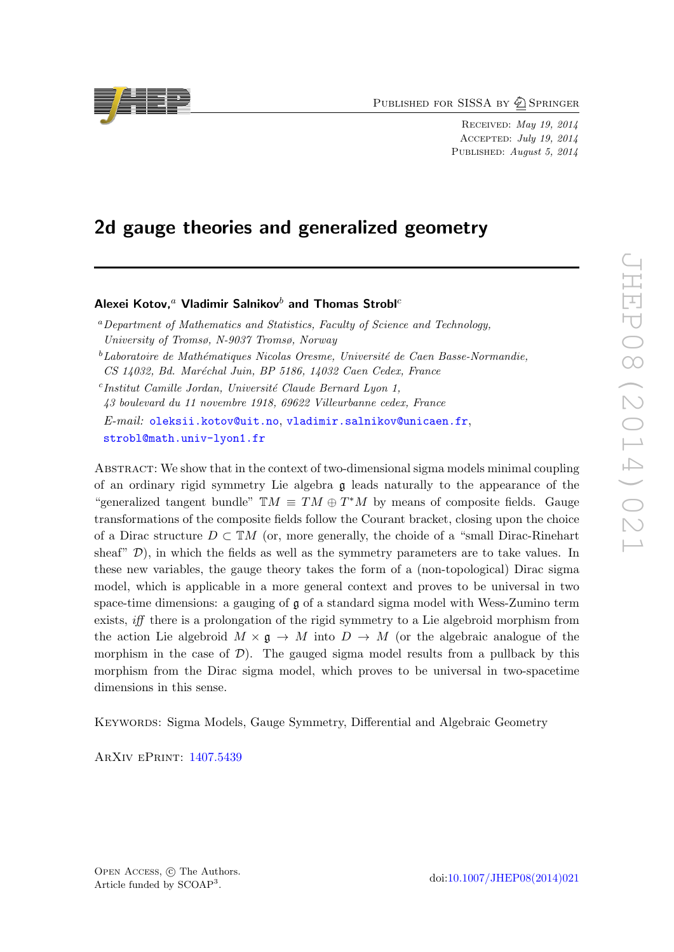PUBLISHED FOR SISSA BY 2 SPRINGER

Received: May 19, 2014 Accepted: July 19, 2014 PUBLISHED: August 5, 2014

# 2d gauge theories and generalized geometry

## Alexei Kotov.<sup>a</sup> Vladimir Salnikov<sup>b</sup> and Thomas Strobl<sup>c</sup>

<sup>a</sup>Department of Mathematics and Statistics, Faculty of Science and Technology, University of Tromsø, N-9037 Tromsø, Norway

<sup>c</sup>Institut Camille Jordan, Université Claude Bernard Lyon 1, 43 boulevard du 11 novembre 1918, 69622 Villeurbanne cedex, France E-mail: [oleksii.kotov@uit.no](mailto:oleksii.kotov@uit.no), [vladimir.salnikov@unicaen.fr](mailto:vladimir.salnikov@unicaen.fr), [strobl@math.univ-lyon1.fr](mailto:strobl@math.univ-lyon1.fr)

Abstract: We show that in the context of two-dimensional sigma models minimal coupling of an ordinary rigid symmetry Lie algebra g leads naturally to the appearance of the "generalized tangent bundle"  $TM \equiv TM \oplus T^*M$  by means of composite fields. Gauge transformations of the composite fields follow the Courant bracket, closing upon the choice of a Dirac structure  $D \subset \mathbb{T}M$  (or, more generally, the choide of a "small Dirac-Rinehart sheaf"  $\mathcal{D}$ ), in which the fields as well as the symmetry parameters are to take values. In these new variables, the gauge theory takes the form of a (non-topological) Dirac sigma model, which is applicable in a more general context and proves to be universal in two space-time dimensions: a gauging of g of a standard sigma model with Wess-Zumino term exists, iff there is a prolongation of the rigid symmetry to a Lie algebroid morphism from the action Lie algebroid  $M \times \mathfrak{g} \to M$  into  $D \to M$  (or the algebraic analogue of the morphism in the case of  $\mathcal{D}$ ). The gauged sigma model results from a pullback by this morphism from the Dirac sigma model, which proves to be universal in two-spacetime dimensions in this sense.

Keywords: Sigma Models, Gauge Symmetry, Differential and Algebraic Geometry

ArXiv ePrint: [1407.5439](http://arxiv.org/abs/1407.5439)



 $b$ Laboratoire de Mathématiques Nicolas Oresme, Université de Caen Basse-Normandie, CS 14032, Bd. Maréchal Juin, BP 5186, 14032 Caen Cedex, France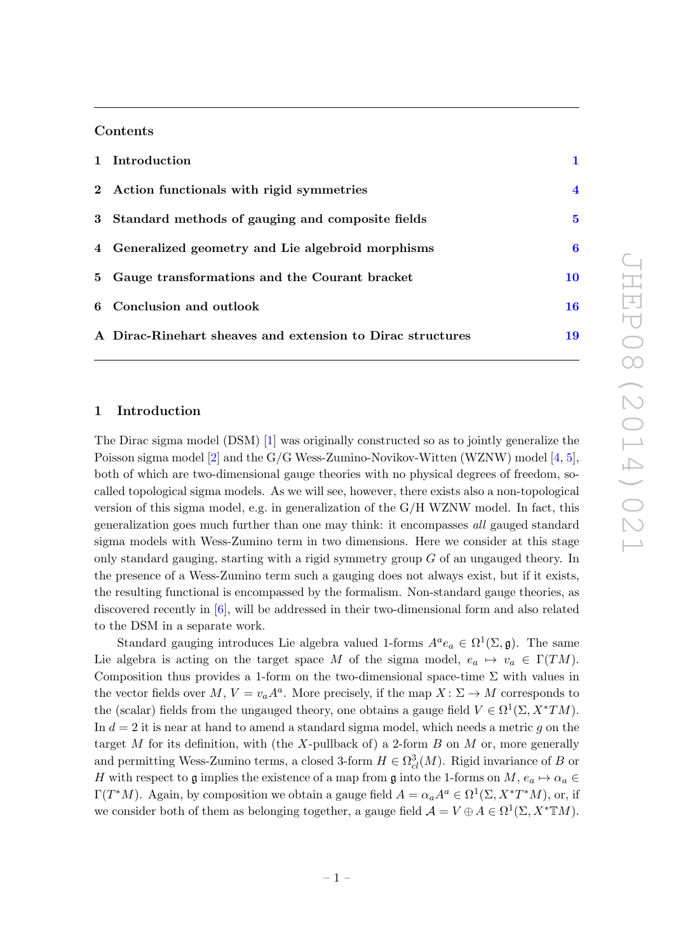## Contents

| 1 Introduction                                             |                |
|------------------------------------------------------------|----------------|
| 2 Action functionals with rigid symmetries                 | $\overline{4}$ |
| 3 Standard methods of gauging and composite fields         | $\bf{5}$       |
| 4 Generalized geometry and Lie algebroid morphisms         | 6              |
| 5 Gauge transformations and the Courant bracket            | 10             |
| 6 Conclusion and outlook                                   | 16             |
| A Dirac-Rinehart sheaves and extension to Dirac structures | 19             |

## <span id="page-1-0"></span>1 Introduction

The Dirac sigma model (DSM) [\[1\]](#page-20-0) was originally constructed so as to jointly generalize the Poisson sigma model [\[2\]](#page-20-1) and the G/G Wess-Zumino-Novikov-Witten (WZNW) model [\[4,](#page-20-2) [5\]](#page-20-3), both of which are two-dimensional gauge theories with no physical degrees of freedom, socalled topological sigma models. As we will see, however, there exists also a non-topological version of this sigma model, e.g. in generalization of the G/H WZNW model. In fact, this generalization goes much further than one may think: it encompasses all gauged standard sigma models with Wess-Zumino term in two dimensions. Here we consider at this stage only standard gauging, starting with a rigid symmetry group  $G$  of an ungauged theory. In the presence of a Wess-Zumino term such a gauging does not always exist, but if it exists, the resulting functional is encompassed by the formalism. Non-standard gauge theories, as discovered recently in [\[6\]](#page-20-4), will be addressed in their two-dimensional form and also related to the DSM in a separate work.

Standard gauging introduces Lie algebra valued 1-forms  $A^a e_a \in \Omega^1(\Sigma, \mathfrak{g})$ . The same Lie algebra is acting on the target space M of the sigma model,  $e_a \mapsto v_a \in \Gamma(TM)$ . Composition thus provides a 1-form on the two-dimensional space-time  $\Sigma$  with values in the vector fields over  $M, V = v_a A^a$ . More precisely, if the map  $X: \Sigma \to M$  corresponds to the (scalar) fields from the ungauged theory, one obtains a gauge field  $V \in \Omega^1(\Sigma, X^*TM)$ . In  $d = 2$  it is near at hand to amend a standard sigma model, which needs a metric q on the target M for its definition, with (the X-pullback of) a 2-form B on M or, more generally and permitting Wess-Zumino terms, a closed 3-form  $H \in \Omega^3_{cl}(M)$ . Rigid invariance of B or H with respect to g implies the existence of a map from g into the 1-forms on  $M$ ,  $e_a \mapsto \alpha_a \in$  $\Gamma(T^*M)$ . Again, by composition we obtain a gauge field  $A = \alpha_a A^a \in \Omega^1(\Sigma, X^*T^*M)$ , or, if we consider both of them as belonging together, a gauge field  $\mathcal{A} = V \oplus A \in \Omega^1(\Sigma, X^* \mathbb{T}M)$ .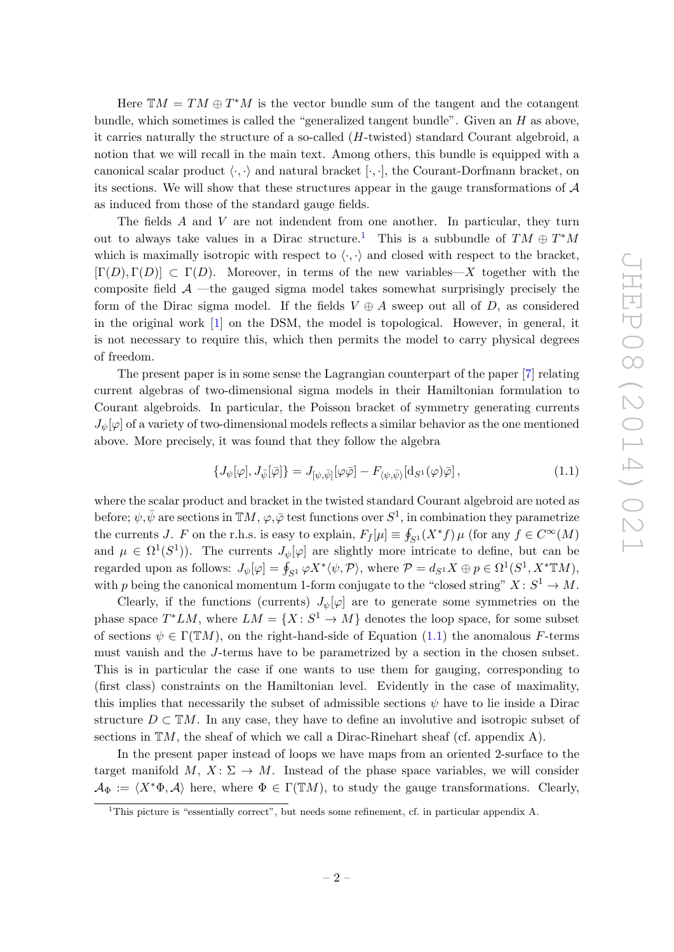Here  $TM = TM \oplus T^*M$  is the vector bundle sum of the tangent and the cotangent bundle, which sometimes is called the "generalized tangent bundle". Given an  $H$  as above, it carries naturally the structure of a so-called  $(H$ -twisted) standard Courant algebroid, a notion that we will recall in the main text. Among others, this bundle is equipped with a canonical scalar product  $\langle \cdot, \cdot \rangle$  and natural bracket  $[\cdot, \cdot]$ , the Courant-Dorfmann bracket, on its sections. We will show that these structures appear in the gauge transformations of  $A$ as induced from those of the standard gauge fields.

The fields A and V are not indendent from one another. In particular, they turn out to always take values in a Dirac structure.<sup>[1](#page-2-0)</sup> This is a subbundle of  $TM \oplus T^*M$ which is maximally isotropic with respect to  $\langle \cdot, \cdot \rangle$  and closed with respect to the bracket,  $[\Gamma(D), \Gamma(D)] \subset \Gamma(D)$ . Moreover, in terms of the new variables—X together with the composite field  $A$  —the gauged sigma model takes somewhat surprisingly precisely the form of the Dirac sigma model. If the fields  $V \oplus A$  sweep out all of D, as considered in the original work [\[1\]](#page-20-0) on the DSM, the model is topological. However, in general, it is not necessary to require this, which then permits the model to carry physical degrees of freedom.

The present paper is in some sense the Lagrangian counterpart of the paper [\[7\]](#page-20-5) relating current algebras of two-dimensional sigma models in their Hamiltonian formulation to Courant algebroids. In particular, the Poisson bracket of symmetry generating currents  $J_{\psi}[\varphi]$  of a variety of two-dimensional models reflects a similar behavior as the one mentioned above. More precisely, it was found that they follow the algebra

<span id="page-2-1"></span>
$$
\{J_{\psi}[\varphi], J_{\bar{\psi}}[\bar{\varphi}]\} = J_{[\psi,\bar{\psi}]}[\varphi\bar{\varphi}] - F_{\langle\psi,\bar{\psi}\rangle}[\mathrm{d}_{S^1}(\varphi)\bar{\varphi}], \tag{1.1}
$$

where the scalar product and bracket in the twisted standard Courant algebroid are noted as before;  $\psi, \bar{\psi}$  are sections in  $\mathbb{T}M$ ,  $\varphi, \bar{\varphi}$  test functions over  $S^1$ , in combination they parametrize the currents J. F on the r.h.s. is easy to explain,  $F_f[\mu] \equiv \oint_{S^1}(X^*f) \mu$  (for any  $f \in C^{\infty}(M)$ and  $\mu \in \Omega^1(S^1)$ ). The currents  $J_{\psi}[\varphi]$  are slightly more intricate to define, but can be regarded upon as follows:  $J_{\psi}[\varphi] = \oint_{S^1} \varphi X^* \langle \psi, \mathcal{P} \rangle$ , where  $\mathcal{P} = d_{S^1} X \oplus p \in \Omega^1(S^1, X^* \mathbb{T}M)$ , with p being the canonical momentum 1-form conjugate to the "closed string"  $X: S^1 \to M$ .

Clearly, if the functions (currents)  $J_{\psi}[\varphi]$  are to generate some symmetries on the phase space  $T^*LM$ , where  $LM = \{X : S^1 \to M\}$  denotes the loop space, for some subset of sections  $\psi \in \Gamma(TM)$ , on the right-hand-side of Equation [\(1.1\)](#page-2-1) the anomalous F-terms must vanish and the J-terms have to be parametrized by a section in the chosen subset. This is in particular the case if one wants to use them for gauging, corresponding to (first class) constraints on the Hamiltonian level. Evidently in the case of maximality, this implies that necessarily the subset of admissible sections  $\psi$  have to lie inside a Dirac structure  $D \subset \mathbb{T}M$ . In any case, they have to define an involutive and isotropic subset of sections in  $TM$ , the sheaf of which we call a Dirac-Rinehart sheaf (cf. appendix A).

In the present paper instead of loops we have maps from an oriented 2-surface to the target manifold  $M, X \colon \Sigma \to M$ . Instead of the phase space variables, we will consider  $\mathcal{A}_{\Phi} := \langle X^*\Phi, \mathcal{A} \rangle$  here, where  $\Phi \in \Gamma(TM)$ , to study the gauge transformations. Clearly,

<span id="page-2-0"></span><sup>1</sup>This picture is "essentially correct", but needs some refinement, cf. in particular appendix A.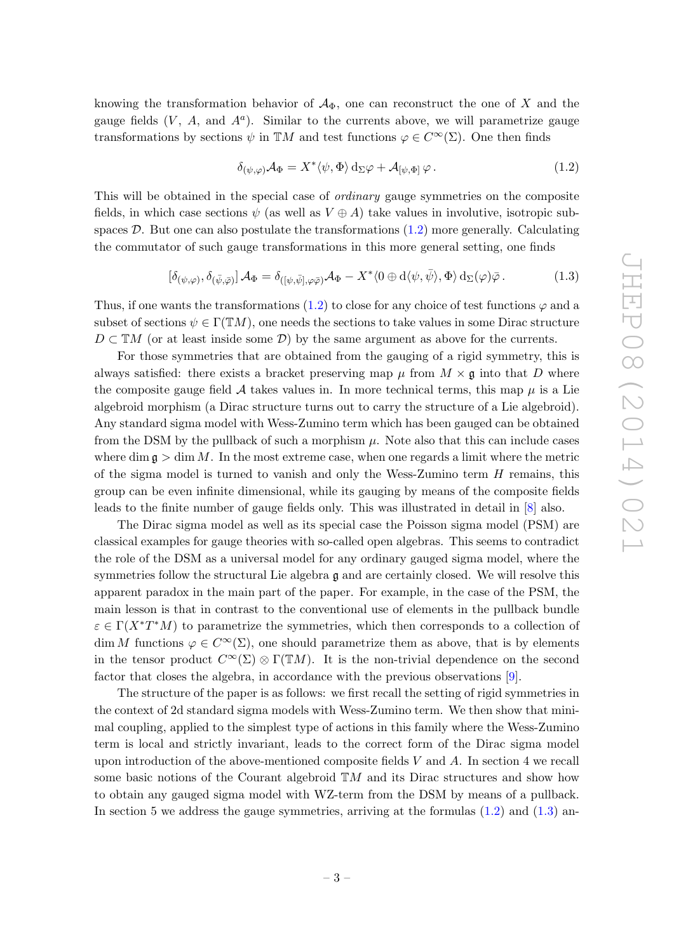knowing the transformation behavior of  $\mathcal{A}_{\Phi}$ , one can reconstruct the one of X and the gauge fields  $(V, A, \text{ and } A^a)$ . Similar to the currents above, we will parametrize gauge transformations by sections  $\psi$  in TM and test functions  $\varphi \in C^{\infty}(\Sigma)$ . One then finds

<span id="page-3-0"></span>
$$
\delta_{(\psi,\varphi)}\mathcal{A}_{\Phi} = X^* \langle \psi, \Phi \rangle \, d_{\Sigma} \varphi + \mathcal{A}_{[\psi,\Phi]} \varphi. \tag{1.2}
$$

This will be obtained in the special case of *ordinary* gauge symmetries on the composite fields, in which case sections  $\psi$  (as well as  $V \oplus A$ ) take values in involutive, isotropic subspaces  $\mathcal{D}$ . But one can also postulate the transformations [\(1.2\)](#page-3-0) more generally. Calculating the commutator of such gauge transformations in this more general setting, one finds

<span id="page-3-1"></span>
$$
[\delta_{(\psi,\varphi)}, \delta_{(\bar{\psi},\bar{\varphi})}] \mathcal{A}_{\Phi} = \delta_{([\psi,\bar{\psi}],\varphi\bar{\varphi})} \mathcal{A}_{\Phi} - X^* \langle 0 \oplus d\langle \psi,\bar{\psi} \rangle, \Phi \rangle d_{\Sigma}(\varphi)\bar{\varphi}.
$$
 (1.3)

Thus, if one wants the transformations [\(1.2\)](#page-3-0) to close for any choice of test functions  $\varphi$  and a subset of sections  $\psi \in \Gamma(TM)$ , one needs the sections to take values in some Dirac structure  $D \subset \mathbb{T}M$  (or at least inside some  $\mathcal{D}$ ) by the same argument as above for the currents.

For those symmetries that are obtained from the gauging of a rigid symmetry, this is always satisfied: there exists a bracket preserving map  $\mu$  from  $M \times \mathfrak{g}$  into that D where the composite gauge field A takes values in. In more technical terms, this map  $\mu$  is a Lie algebroid morphism (a Dirac structure turns out to carry the structure of a Lie algebroid). Any standard sigma model with Wess-Zumino term which has been gauged can be obtained from the DSM by the pullback of such a morphism  $\mu$ . Note also that this can include cases where dim  $\mathfrak{g} > \dim M$ . In the most extreme case, when one regards a limit where the metric of the sigma model is turned to vanish and only the Wess-Zumino term  $H$  remains, this group can be even infinite dimensional, while its gauging by means of the composite fields leads to the finite number of gauge fields only. This was illustrated in detail in [\[8\]](#page-20-6) also.

The Dirac sigma model as well as its special case the Poisson sigma model (PSM) are classical examples for gauge theories with so-called open algebras. This seems to contradict the role of the DSM as a universal model for any ordinary gauged sigma model, where the symmetries follow the structural Lie algebra  $\mathfrak g$  and are certainly closed. We will resolve this apparent paradox in the main part of the paper. For example, in the case of the PSM, the main lesson is that in contrast to the conventional use of elements in the pullback bundle  $\varepsilon \in \Gamma(X^*T^*M)$  to parametrize the symmetries, which then corresponds to a collection of dim M functions  $\varphi \in C^{\infty}(\Sigma)$ , one should parametrize them as above, that is by elements in the tensor product  $C^{\infty}(\Sigma) \otimes \Gamma(\mathbb{T}M)$ . It is the non-trivial dependence on the second factor that closes the algebra, in accordance with the previous observations [\[9\]](#page-20-7).

The structure of the paper is as follows: we first recall the setting of rigid symmetries in the context of 2d standard sigma models with Wess-Zumino term. We then show that minimal coupling, applied to the simplest type of actions in this family where the Wess-Zumino term is local and strictly invariant, leads to the correct form of the Dirac sigma model upon introduction of the above-mentioned composite fields  $V$  and  $A$ . In section 4 we recall some basic notions of the Courant algebroid  $\mathbb{T}M$  and its Dirac structures and show how to obtain any gauged sigma model with WZ-term from the DSM by means of a pullback. In section 5 we address the gauge symmetries, arriving at the formulas  $(1.2)$  and  $(1.3)$  an-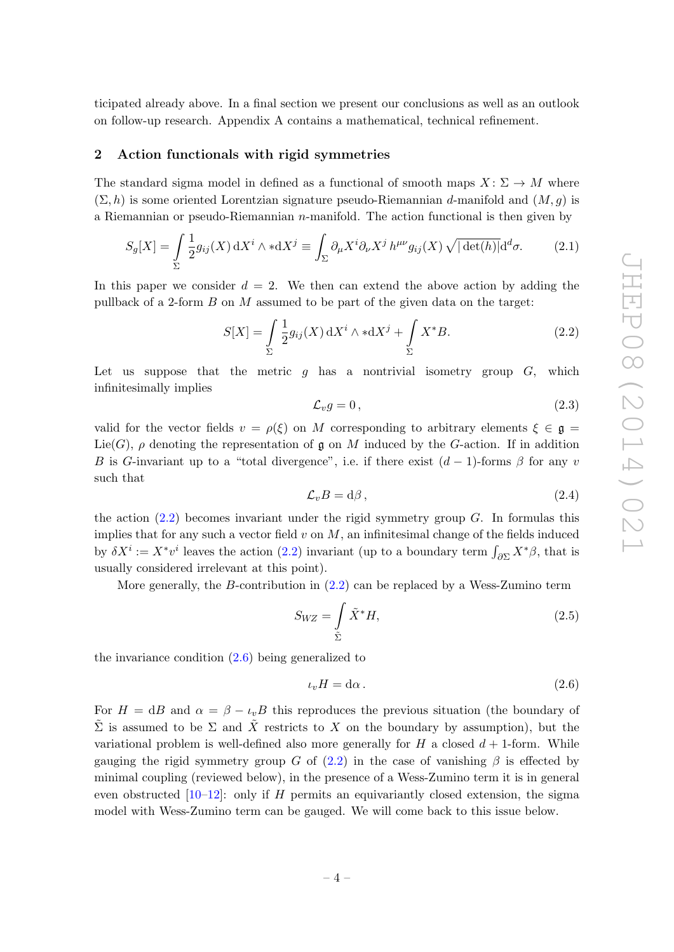ticipated already above. In a final section we present our conclusions as well as an outlook on follow-up research. Appendix A contains a mathematical, technical refinement.

## <span id="page-4-0"></span>2 Action functionals with rigid symmetries

The standard sigma model in defined as a functional of smooth maps  $X: \Sigma \to M$  where  $(\Sigma, h)$  is some oriented Lorentzian signature pseudo-Riemannian d-manifold and  $(M, q)$  is a Riemannian or pseudo-Riemannian  $n$ -manifold. The action functional is then given by

<span id="page-4-4"></span>
$$
S_g[X] = \int_{\Sigma} \frac{1}{2} g_{ij}(X) dX^i \wedge *dX^j \equiv \int_{\Sigma} \partial_{\mu} X^i \partial_{\nu} X^j h^{\mu\nu} g_{ij}(X) \sqrt{|\det(h)|} d^d\sigma.
$$
 (2.1)

In this paper we consider  $d = 2$ . We then can extend the above action by adding the pullback of a 2-form  $B$  on  $M$  assumed to be part of the given data on the target:

<span id="page-4-1"></span>
$$
S[X] = \int_{\Sigma} \frac{1}{2} g_{ij}(X) dX^i \wedge *dX^j + \int_{\Sigma} X^* B.
$$
 (2.2)

Let us suppose that the metric  $q$  has a nontrivial isometry group  $G$ , which infinitesimally implies

<span id="page-4-3"></span>
$$
\mathcal{L}_v g = 0, \tag{2.3}
$$

valid for the vector fields  $v = \rho(\xi)$  on M corresponding to arbitrary elements  $\xi \in \mathfrak{g} =$  $Lie(G)$ ,  $\rho$  denoting the representation of g on M induced by the G-action. If in addition B is G-invariant up to a "total divergence", i.e. if there exist  $(d-1)$ -forms  $\beta$  for any v such that

<span id="page-4-5"></span>
$$
\mathcal{L}_v B = d\beta \,,\tag{2.4}
$$

the action  $(2.2)$  becomes invariant under the rigid symmetry group G. In formulas this implies that for any such a vector field  $v$  on  $M$ , an infinitesimal change of the fields induced by  $\delta X^i := X^* v^i$  leaves the action [\(2.2\)](#page-4-1) invariant (up to a boundary term  $\int_{\partial \Sigma} X^* \beta$ , that is usually considered irrelevant at this point).

More generally, the B-contribution in [\(2.2\)](#page-4-1) can be replaced by a Wess-Zumino term

<span id="page-4-6"></span>
$$
S_{WZ} = \int_{\tilde{\Sigma}} \tilde{X}^* H,\tag{2.5}
$$

the invariance condition  $(2.6)$  being generalized to

<span id="page-4-2"></span>
$$
\iota_v H = \mathrm{d}\alpha \,. \tag{2.6}
$$

For  $H = dB$  and  $\alpha = \beta - \iota_v B$  this reproduces the previous situation (the boundary of  $\tilde{\Sigma}$  is assumed to be  $\Sigma$  and  $\tilde{X}$  restricts to X on the boundary by assumption), but the variational problem is well-defined also more generally for  $H$  a closed  $d + 1$ -form. While gauging the rigid symmetry group G of  $(2.2)$  in the case of vanishing  $\beta$  is effected by minimal coupling (reviewed below), in the presence of a Wess-Zumino term it is in general even obstructed  $[10-12]$ : only if H permits an equivariantly closed extension, the sigma model with Wess-Zumino term can be gauged. We will come back to this issue below.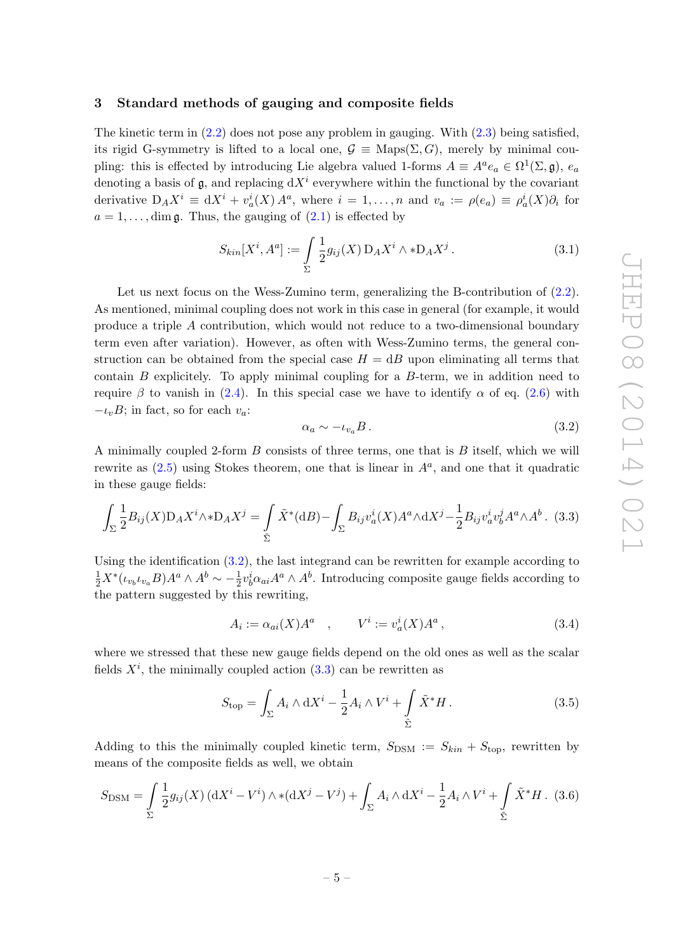## <span id="page-5-0"></span>3 Standard methods of gauging and composite fields

The kinetic term in  $(2.2)$  does not pose any problem in gauging. With  $(2.3)$  being satisfied, its rigid G-symmetry is lifted to a local one,  $\mathcal{G} \equiv \text{Maps}(\Sigma, G)$ , merely by minimal coupling: this is effected by introducing Lie algebra valued 1-forms  $A \equiv A^a e_a \in \Omega^1(\Sigma, \mathfrak{g}), e_a$ denoting a basis of  $\mathfrak{g}$ , and replacing  $dX^i$  everywhere within the functional by the covariant derivative  $D_A X^i \equiv dX^i + v_a^i(X) A^a$ , where  $i = 1, ..., n$  and  $v_a := \rho(e_a) \equiv \rho_a^i(X) \partial_i$  for  $a = 1, \ldots$ , dim g. Thus, the gauging of  $(2.1)$  is effected by

$$
S_{kin}[X^i, A^a] := \int_{\Sigma} \frac{1}{2} g_{ij}(X) D_A X^i \wedge * D_A X^j.
$$
 (3.1)

Let us next focus on the Wess-Zumino term, generalizing the B-contribution of  $(2.2)$ . As mentioned, minimal coupling does not work in this case in general (for example, it would produce a triple A contribution, which would not reduce to a two-dimensional boundary term even after variation). However, as often with Wess-Zumino terms, the general construction can be obtained from the special case  $H = dB$  upon eliminating all terms that contain  $B$  explicitely. To apply minimal coupling for a  $B$ -term, we in addition need to require  $\beta$  to vanish in [\(2.4\)](#page-4-5). In this special case we have to identify  $\alpha$  of eq. [\(2.6\)](#page-4-2) with  $-\iota_v B$ ; in fact, so for each  $v_a$ :

<span id="page-5-1"></span>
$$
\alpha_a \sim -\iota_{v_a} B. \tag{3.2}
$$

A minimally coupled 2-form  $B$  consists of three terms, one that is  $B$  itself, which we will rewrite as  $(2.5)$  using Stokes theorem, one that is linear in  $A^a$ , and one that it quadratic in these gauge fields:

<span id="page-5-2"></span>
$$
\int_{\Sigma} \frac{1}{2} B_{ij}(X) \mathcal{D}_A X^i \wedge * \mathcal{D}_A X^j = \int_{\tilde{\Sigma}} \tilde{X}^*(\mathrm{d}B) - \int_{\Sigma} B_{ij} v_a^i(X) A^a \wedge \mathrm{d}X^j - \frac{1}{2} B_{ij} v_a^i v_b^j A^a \wedge A^b. \tag{3.3}
$$

Using the identification  $(3.2)$ , the last integrand can be rewritten for example according to  $\frac{1}{2}X^*(\iota_{v_b}\iota_{v_a}B)A^a\wedge A^b \sim -\frac{1}{2}$  $\frac{1}{2}v_b^i\alpha_{ai}A^a\wedge A^b$ . Introducing composite gauge fields according to the pattern suggested by this rewriting,

<span id="page-5-3"></span>
$$
A_i := \alpha_{ai}(X)A^a \quad , \qquad V^i := v_a^i(X)A^a \,, \tag{3.4}
$$

where we stressed that these new gauge fields depend on the old ones as well as the scalar fields  $X^i$ , the minimally coupled action  $(3.3)$  can be rewritten as

<span id="page-5-4"></span>
$$
S_{\text{top}} = \int_{\Sigma} A_i \wedge \mathrm{d}X^i - \frac{1}{2} A_i \wedge V^i + \int_{\tilde{\Sigma}} \tilde{X}^* H. \tag{3.5}
$$

Adding to this the minimally coupled kinetic term,  $S_{DSM} := S_{kin} + S_{top}$ , rewritten by means of the composite fields as well, we obtain

<span id="page-5-5"></span>
$$
S_{\text{DSM}} = \int_{\Sigma} \frac{1}{2} g_{ij}(X) \left( dX^{i} - V^{i} \right) \wedge \ast (dX^{j} - V^{j}) + \int_{\Sigma} A_{i} \wedge dX^{i} - \frac{1}{2} A_{i} \wedge V^{i} + \int_{\tilde{\Sigma}} \tilde{X}^{*} H. (3.6)
$$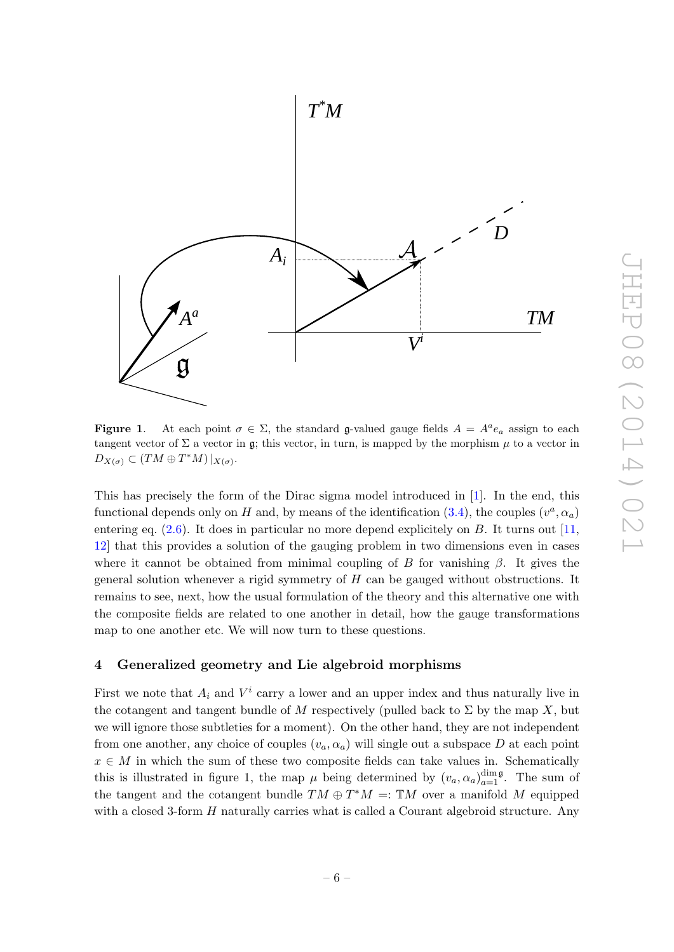

**Figure 1.** At each point  $\sigma \in \Sigma$ , the standard **g**-valued gauge fields  $A = A^a e_a$  assign to each tangent vector of  $\Sigma$  a vector in g; this vector, in turn, is mapped by the morphism  $\mu$  to a vector in  $D_{X(\sigma)} \subset (TM \oplus T^*M)|_{X(\sigma)}.$ 

This has precisely the form of the Dirac sigma model introduced in [\[1\]](#page-20-0). In the end, this functional depends only on H and, by means of the identification  $(3.4)$ , the couples  $(v^a, \alpha_a)$ entering eq.  $(2.6)$ . It does in particular no more depend explicitely on B. It turns out  $[11]$ , [12\]](#page-21-0) that this provides a solution of the gauging problem in two dimensions even in cases where it cannot be obtained from minimal coupling of B for vanishing  $\beta$ . It gives the general solution whenever a rigid symmetry of H can be gauged without obstructions. It remains to see, next, how the usual formulation of the theory and this alternative one with the composite fields are related to one another in detail, how the gauge transformations map to one another etc. We will now turn to these questions.

## <span id="page-6-0"></span>4 Generalized geometry and Lie algebroid morphisms

First we note that  $A_i$  and  $V^i$  carry a lower and an upper index and thus naturally live in the cotangent and tangent bundle of M respectively (pulled back to  $\Sigma$  by the map X, but we will ignore those subtleties for a moment). On the other hand, they are not independent from one another, any choice of couples  $(v_a, \alpha_a)$  will single out a subspace D at each point  $x \in M$  in which the sum of these two composite fields can take values in. Schematically this is illustrated in figure 1, the map  $\mu$  being determined by  $(v_a, \alpha_a)_{a=1}^{\dim \mathfrak{g}}$ . The sum of the tangent and the cotangent bundle  $TM \oplus T^*M =: \mathbb{T}M$  over a manifold M equipped with a closed 3-form  $H$  naturally carries what is called a Courant algebroid structure. Any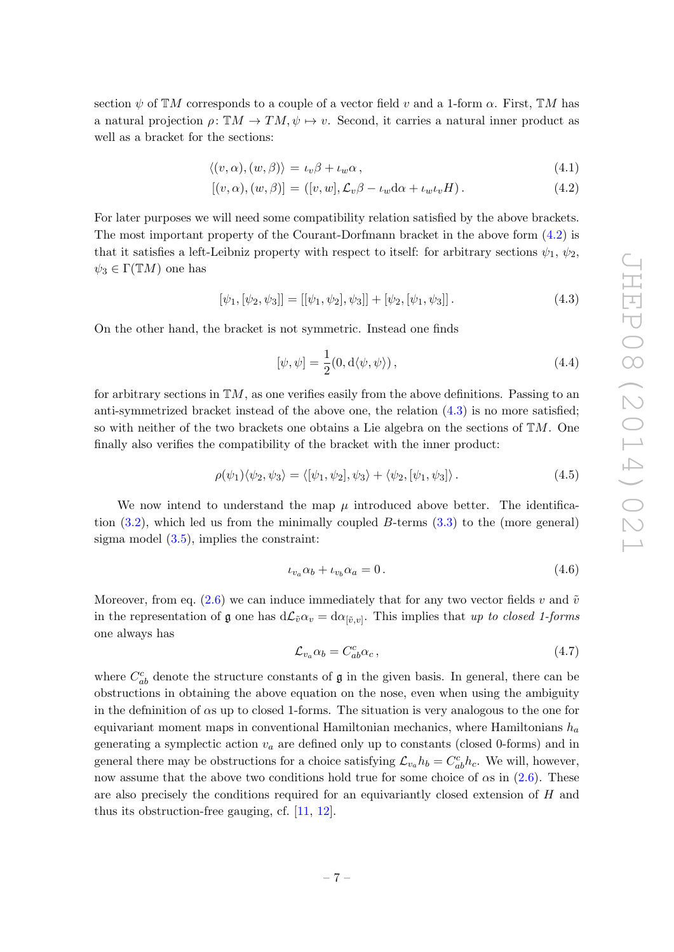section  $\psi$  of TM corresponds to a couple of a vector field v and a 1-form  $\alpha$ . First, TM has a natural projection  $\rho: \mathbb{T}M \to TM$ ,  $\psi \mapsto v$ . Second, it carries a natural inner product as well as a bracket for the sections:

<span id="page-7-0"></span>
$$
\langle (v, \alpha), (w, \beta) \rangle = \iota_v \beta + \iota_w \alpha, \qquad (4.1)
$$

$$
[(v, \alpha), (w, \beta)] = ([v, w], \mathcal{L}_v \beta - \iota_w \mathrm{d}\alpha + \iota_w \iota_v H). \tag{4.2}
$$

For later purposes we will need some compatibility relation satisfied by the above brackets. The most important property of the Courant-Dorfmann bracket in the above form [\(4.2\)](#page-7-0) is that it satisfies a left-Leibniz property with respect to itself: for arbitrary sections  $\psi_1, \psi_2$ ,  $\psi_3 \in \Gamma(TM)$  one has

<span id="page-7-1"></span>
$$
[\psi_1, [\psi_2, \psi_3]] = [[\psi_1, \psi_2], \psi_3]] + [\psi_2, [\psi_1, \psi_3]]. \qquad (4.3)
$$

On the other hand, the bracket is not symmetric. Instead one finds

<span id="page-7-4"></span>
$$
[\psi, \psi] = \frac{1}{2}(0, d\langle \psi, \psi \rangle), \qquad (4.4)
$$

for arbitrary sections in  $\mathbb{T}M$ , as one verifies easily from the above definitions. Passing to an anti-symmetrized bracket instead of the above one, the relation [\(4.3\)](#page-7-1) is no more satisfied; so with neither of the two brackets one obtains a Lie algebra on the sections of  $\mathbb{T}M$ . One finally also verifies the compatibility of the bracket with the inner product:

<span id="page-7-5"></span>
$$
\rho(\psi_1)\langle\psi_2,\psi_3\rangle = \langle [\psi_1,\psi_2], \psi_3\rangle + \langle \psi_2,[\psi_1,\psi_3]\rangle. \tag{4.5}
$$

We now intend to understand the map  $\mu$  introduced above better. The identification  $(3.2)$ , which led us from the minimally coupled B-terms  $(3.3)$  to the (more general) sigma model [\(3.5\)](#page-5-4), implies the constraint:

<span id="page-7-2"></span>
$$
\iota_{v_a} \alpha_b + \iota_{v_b} \alpha_a = 0. \tag{4.6}
$$

Moreover, from eq. [\(2.6\)](#page-4-2) we can induce immediately that for any two vector fields v and  $\tilde{v}$ in the representation of g one has  $d\mathcal{L}_{\tilde{v}}\alpha_v = d\alpha_{[\tilde{v},v]}$ . This implies that up to closed 1-forms one always has

<span id="page-7-3"></span>
$$
\mathcal{L}_{v_a} \alpha_b = C^c_{ab} \alpha_c \,, \tag{4.7}
$$

where  $C_{ab}^c$  denote the structure constants of  $\mathfrak g$  in the given basis. In general, there can be obstructions in obtaining the above equation on the nose, even when using the ambiguity in the defininition of  $\alpha s$  up to closed 1-forms. The situation is very analogous to the one for equivariant moment maps in conventional Hamiltonian mechanics, where Hamiltonians  $h_a$ generating a symplectic action  $v_a$  are defined only up to constants (closed 0-forms) and in general there may be obstructions for a choice satisfying  $\mathcal{L}_{v_a} h_b = C_{ab}^c h_c$ . We will, however, now assume that the above two conditions hold true for some choice of  $\alpha$ s in [\(2.6\)](#page-4-2). These are also precisely the conditions required for an equivariantly closed extension of  $H$  and thus its obstruction-free gauging, cf. [\[11,](#page-21-1) [12\]](#page-21-0).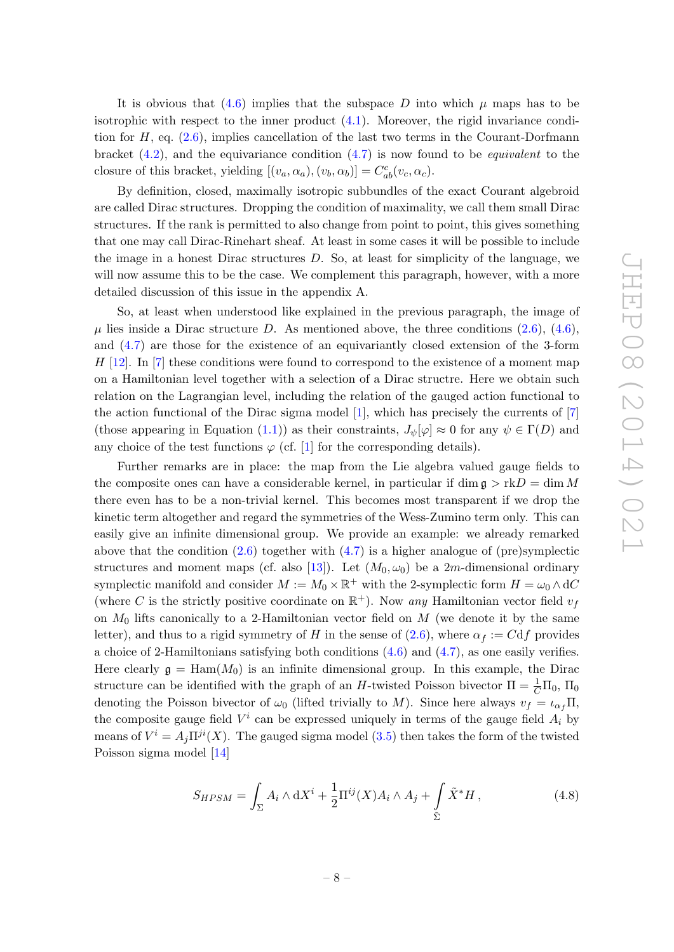It is obvious that [\(4.6\)](#page-7-2) implies that the subspace D into which  $\mu$  maps has to be isotrophic with respect to the inner product  $(4.1)$ . Moreover, the rigid invariance condition for  $H$ , eq.  $(2.6)$ , implies cancellation of the last two terms in the Courant-Dorfmann bracket  $(4.2)$ , and the equivariance condition  $(4.7)$  is now found to be *equivalent* to the closure of this bracket, yielding  $[(v_a, \alpha_a), (v_b, \alpha_b)] = C_{ab}^c(v_c, \alpha_c)$ .

By definition, closed, maximally isotropic subbundles of the exact Courant algebroid are called Dirac structures. Dropping the condition of maximality, we call them small Dirac structures. If the rank is permitted to also change from point to point, this gives something that one may call Dirac-Rinehart sheaf. At least in some cases it will be possible to include the image in a honest Dirac structures  $D$ . So, at least for simplicity of the language, we will now assume this to be the case. We complement this paragraph, however, with a more detailed discussion of this issue in the appendix A.

So, at least when understood like explained in the previous paragraph, the image of  $\mu$  lies inside a Dirac structure D. As mentioned above, the three conditions [\(2.6\)](#page-4-2), [\(4.6\)](#page-7-2), and [\(4.7\)](#page-7-3) are those for the existence of an equivariantly closed extension of the 3-form  $H$  [\[12\]](#page-21-0). In [\[7\]](#page-20-5) these conditions were found to correspond to the existence of a moment map on a Hamiltonian level together with a selection of a Dirac structre. Here we obtain such relation on the Lagrangian level, including the relation of the gauged action functional to the action functional of the Dirac sigma model [\[1\]](#page-20-0), which has precisely the currents of [\[7\]](#page-20-5) (those appearing in Equation [\(1.1\)](#page-2-1)) as their constraints,  $J_{\psi}[\varphi] \approx 0$  for any  $\psi \in \Gamma(D)$  and any choice of the test functions  $\varphi$  (cf. [\[1\]](#page-20-0) for the corresponding details).

Further remarks are in place: the map from the Lie algebra valued gauge fields to the composite ones can have a considerable kernel, in particular if dim  $\mathfrak{g} > \mathfrak{r} \mathfrak{k}D = \dim M$ there even has to be a non-trivial kernel. This becomes most transparent if we drop the kinetic term altogether and regard the symmetries of the Wess-Zumino term only. This can easily give an infinite dimensional group. We provide an example: we already remarked above that the condition  $(2.6)$  together with  $(4.7)$  is a higher analogue of (pre)symplectic structures and moment maps (cf. also [\[13\]](#page-21-2)). Let  $(M_0, \omega_0)$  be a 2m-dimensional ordinary symplectic manifold and consider  $M := M_0 \times \mathbb{R}^+$  with the 2-symplectic form  $H = \omega_0 \wedge dC$ (where C is the strictly positive coordinate on  $\mathbb{R}^+$ ). Now any Hamiltonian vector field  $v_f$ on  $M_0$  lifts canonically to a 2-Hamiltonian vector field on  $M$  (we denote it by the same letter), and thus to a rigid symmetry of H in the sense of [\(2.6\)](#page-4-2), where  $\alpha_f := Cdf$  provides a choice of 2-Hamiltonians satisfying both conditions [\(4.6\)](#page-7-2) and [\(4.7\)](#page-7-3), as one easily verifies. Here clearly  $\mathfrak{g} = \text{Ham}(M_0)$  is an infinite dimensional group. In this example, the Dirac structure can be identified with the graph of an H-twisted Poisson bivector  $\Pi = \frac{1}{C} \Pi_0$ ,  $\Pi_0$ denoting the Poisson bivector of  $\omega_0$  (lifted trivially to M). Since here always  $v_f = \iota_{\alpha_f} \Pi$ , the composite gauge field  $V^i$  can be expressed uniquely in terms of the gauge field  $A_i$  by means of  $V^i = A_j \Pi^{ji}(X)$ . The gauged sigma model [\(3.5\)](#page-5-4) then takes the form of the twisted Poisson sigma model [\[14\]](#page-21-3)

<span id="page-8-0"></span>
$$
S_{HPSM} = \int_{\Sigma} A_i \wedge \mathrm{d}X^i + \frac{1}{2} \Pi^{ij}(X) A_i \wedge A_j + \int_{\tilde{\Sigma}} \tilde{X}^* H,
$$
\n(4.8)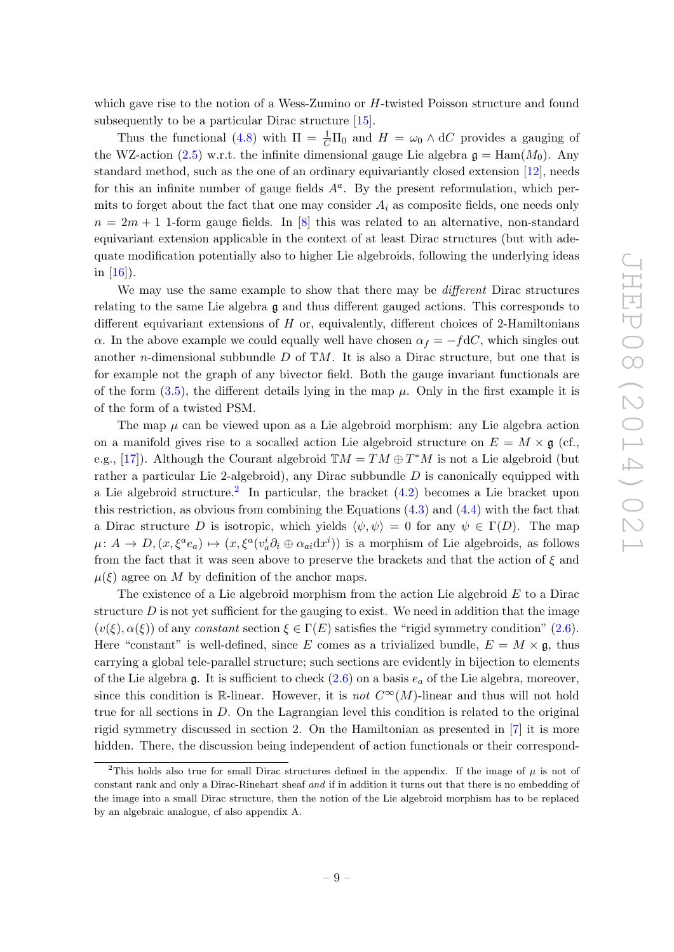which gave rise to the notion of a Wess-Zumino or H-twisted Poisson structure and found subsequently to be a particular Dirac structure [\[15\]](#page-21-4).

Thus the functional [\(4.8\)](#page-8-0) with  $\Pi = \frac{1}{C}\Pi_0$  and  $H = \omega_0 \wedge dC$  provides a gauging of the WZ-action [\(2.5\)](#page-4-6) w.r.t. the infinite dimensional gauge Lie algebra  $\mathfrak{g} = \text{Ham}(M_0)$ . Any standard method, such as the one of an ordinary equivariantly closed extension [\[12\]](#page-21-0), needs for this an infinite number of gauge fields  $A<sup>a</sup>$ . By the present reformulation, which permits to forget about the fact that one may consider  $A_i$  as composite fields, one needs only  $n = 2m + 1$  1-form gauge fields. In [\[8\]](#page-20-6) this was related to an alternative, non-standard equivariant extension applicable in the context of at least Dirac structures (but with adequate modification potentially also to higher Lie algebroids, following the underlying ideas in  $[16]$ ).

We may use the same example to show that there may be *different* Dirac structures relating to the same Lie algebra  $\mathfrak g$  and thus different gauged actions. This corresponds to different equivariant extensions of  $H$  or, equivalently, different choices of 2-Hamiltonians  $\alpha$ . In the above example we could equally well have chosen  $\alpha_f = -fdC$ , which singles out another *n*-dimensional subbundle D of  $\mathbb{T}M$ . It is also a Dirac structure, but one that is for example not the graph of any bivector field. Both the gauge invariant functionals are of the form  $(3.5)$ , the different details lying in the map  $\mu$ . Only in the first example it is of the form of a twisted PSM.

The map  $\mu$  can be viewed upon as a Lie algebroid morphism: any Lie algebra action on a manifold gives rise to a socalled action Lie algebroid structure on  $E = M \times \mathfrak{g}$  (cf., e.g., [\[17\]](#page-21-6)). Although the Courant algebroid  $\mathbb{T}M = TM \oplus T^*M$  is not a Lie algebroid (but rather a particular Lie 2-algebroid), any Dirac subbundle  $D$  is canonically equipped with a Lie algebroid structure.<sup>[2](#page-9-0)</sup> In particular, the bracket  $(4.2)$  becomes a Lie bracket upon this restriction, as obvious from combining the Equations  $(4.3)$  and  $(4.4)$  with the fact that a Dirac structure D is isotropic, which yields  $\langle \psi, \psi \rangle = 0$  for any  $\psi \in \Gamma(D)$ . The map  $\mu: A \to D, (x, \xi^a e_a) \mapsto (x, \xi^a (v_a^i \partial_i \oplus \alpha_{ai} dx^i))$  is a morphism of Lie algebroids, as follows from the fact that it was seen above to preserve the brackets and that the action of  $\xi$  and  $\mu(\xi)$  agree on M by definition of the anchor maps.

The existence of a Lie algebroid morphism from the action Lie algebroid  $E$  to a Dirac structure  $D$  is not yet sufficient for the gauging to exist. We need in addition that the image  $(v(\xi), \alpha(\xi))$  of any constant section  $\xi \in \Gamma(E)$  satisfies the "rigid symmetry condition" [\(2.6\)](#page-4-2). Here "constant" is well-defined, since E comes as a trivialized bundle,  $E = M \times \mathfrak{g}$ , thus carrying a global tele-parallel structure; such sections are evidently in bijection to elements of the Lie algebra  $\mathfrak g$ . It is sufficient to check  $(2.6)$  on a basis  $e_a$  of the Lie algebra, moreover, since this condition is R-linear. However, it is not  $C^{\infty}(M)$ -linear and thus will not hold true for all sections in D. On the Lagrangian level this condition is related to the original rigid symmetry discussed in section 2. On the Hamiltonian as presented in [\[7\]](#page-20-5) it is more hidden. There, the discussion being independent of action functionals or their correspond-

<span id="page-9-0"></span><sup>&</sup>lt;sup>2</sup>This holds also true for small Dirac structures defined in the appendix. If the image of  $\mu$  is not of constant rank and only a Dirac-Rinehart sheaf and if in addition it turns out that there is no embedding of the image into a small Dirac structure, then the notion of the Lie algebroid morphism has to be replaced by an algebraic analogue, cf also appendix A.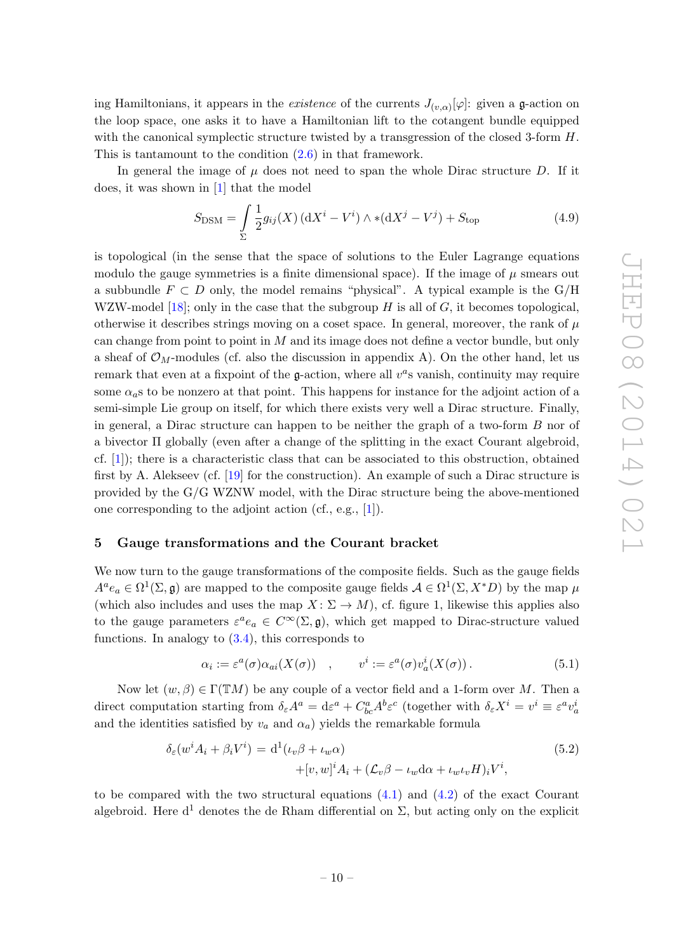ing Hamiltonians, it appears in the *existence* of the currents  $J_{(v,\alpha)}[\varphi]$ : given a **g**-action on the loop space, one asks it to have a Hamiltonian lift to the cotangent bundle equipped with the canonical symplectic structure twisted by a transgression of the closed 3-form H. This is tantamount to the condition [\(2.6\)](#page-4-2) in that framework.

In general the image of  $\mu$  does not need to span the whole Dirac structure D. If it does, it was shown in [\[1\]](#page-20-0) that the model

$$
S_{\text{DSM}} = \int_{\Sigma} \frac{1}{2} g_{ij}(X) \left( dX^{i} - V^{i} \right) \wedge \ast (dX^{j} - V^{j}) + S_{\text{top}}
$$
(4.9)

is topological (in the sense that the space of solutions to the Euler Lagrange equations modulo the gauge symmetries is a finite dimensional space). If the image of  $\mu$  smears out a subbundle  $F \subset D$  only, the model remains "physical". A typical example is the G/H WZW-model [\[18\]](#page-21-7); only in the case that the subgroup  $H$  is all of  $G$ , it becomes topological, otherwise it describes strings moving on a coset space. In general, moreover, the rank of  $\mu$ can change from point to point in  $M$  and its image does not define a vector bundle, but only a sheaf of  $\mathcal{O}_M$ -modules (cf. also the discussion in appendix A). On the other hand, let us remark that even at a fixpoint of the  $g$ -action, where all  $v^a$ s vanish, continuity may require some  $\alpha_a$ s to be nonzero at that point. This happens for instance for the adjoint action of a semi-simple Lie group on itself, for which there exists very well a Dirac structure. Finally, in general, a Dirac structure can happen to be neither the graph of a two-form  $B$  nor of a bivector Π globally (even after a change of the splitting in the exact Courant algebroid, cf. [\[1\]](#page-20-0)); there is a characteristic class that can be associated to this obstruction, obtained first by A. Alekseev (cf. [\[19\]](#page-21-8) for the construction). An example of such a Dirac structure is provided by the G/G WZNW model, with the Dirac structure being the above-mentioned one corresponding to the adjoint action (cf., e.g., [\[1\]](#page-20-0)).

## <span id="page-10-0"></span>5 Gauge transformations and the Courant bracket

We now turn to the gauge transformations of the composite fields. Such as the gauge fields  $A^a e_a \in \Omega^1(\Sigma, \mathfrak{g})$  are mapped to the composite gauge fields  $A \in \Omega^1(\Sigma, X^*D)$  by the map  $\mu$ (which also includes and uses the map  $X: \Sigma \to M$ ), cf. figure 1, likewise this applies also to the gauge parameters  $\varepsilon^a e_a \in C^\infty(\Sigma, \mathfrak{g})$ , which get mapped to Dirac-structure valued functions. In analogy to  $(3.4)$ , this corresponds to

<span id="page-10-2"></span>
$$
\alpha_i := \varepsilon^a(\sigma) \alpha_{ai}(X(\sigma)) \quad , \qquad v^i := \varepsilon^a(\sigma) v_a^i(X(\sigma)) \,. \tag{5.1}
$$

Now let  $(w, \beta) \in \Gamma(TM)$  be any couple of a vector field and a 1-form over M. Then a direct computation starting from  $\delta_{\varepsilon}A^a = d\varepsilon^a + C^a_{bc}A^b \varepsilon^c$  (together with  $\delta_{\varepsilon}X^i = v^i \equiv \varepsilon^a v^i_a$ and the identities satisfied by  $v_a$  and  $\alpha_a$ ) yields the remarkable formula

<span id="page-10-1"></span>
$$
\delta_{\varepsilon}(w^{i} A_{i} + \beta_{i} V^{i}) = d^{1}(\iota_{v} \beta + \iota_{w} \alpha)
$$
  
+
$$
[v, w]^{i} A_{i} + (\mathcal{L}_{v} \beta - \iota_{w} d \alpha + \iota_{w} \iota_{v} H)_{i} V^{i},
$$
\n(5.2)

to be compared with the two structural equations [\(4.1\)](#page-7-0) and [\(4.2\)](#page-7-0) of the exact Courant algebroid. Here  $d^1$  denotes the de Rham differential on  $\Sigma$ , but acting only on the explicit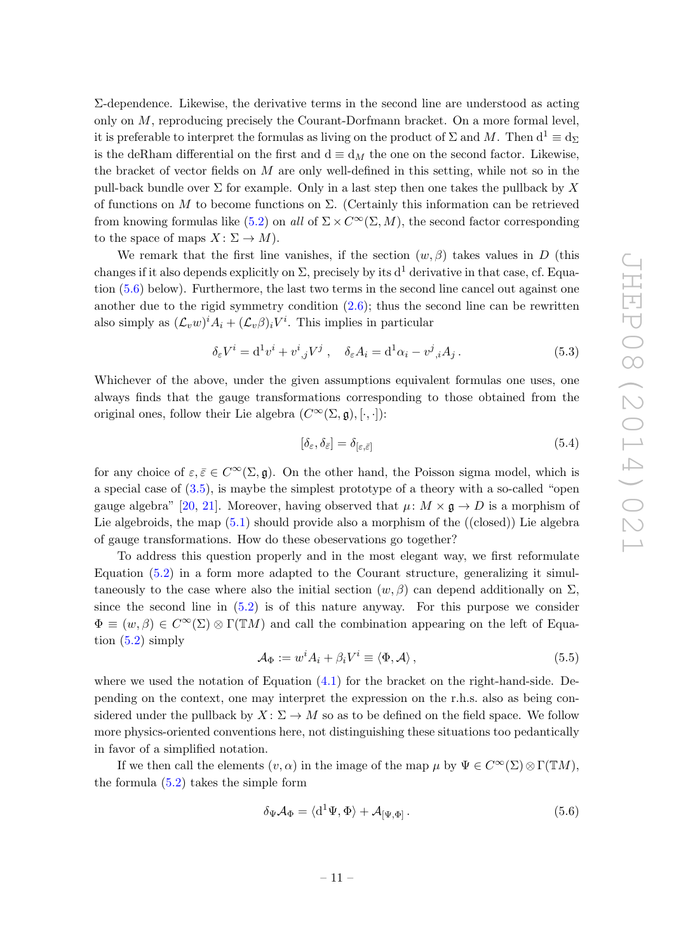Σ-dependence. Likewise, the derivative terms in the second line are understood as acting only on  $M$ , reproducing precisely the Courant-Dorfmann bracket. On a more formal level, it is preferable to interpret the formulas as living on the product of  $\Sigma$  and M. Then  $d^1 \equiv d_{\Sigma}$ is the deRham differential on the first and  $d \equiv d_M$  the one on the second factor. Likewise, the bracket of vector fields on  $M$  are only well-defined in this setting, while not so in the pull-back bundle over  $\Sigma$  for example. Only in a last step then one takes the pullback by X of functions on  $M$  to become functions on  $\Sigma$ . (Certainly this information can be retrieved from knowing formulas like [\(5.2\)](#page-10-1) on all of  $\Sigma \times C^{\infty}(\Sigma, M)$ , the second factor corresponding to the space of maps  $X: \Sigma \to M$ ).

We remark that the first line vanishes, if the section  $(w, \beta)$  takes values in D (this changes if it also depends explicitly on  $\Sigma$ , precisely by its d<sup>1</sup> derivative in that case, cf. Equation [\(5.6\)](#page-11-0) below). Furthermore, the last two terms in the second line cancel out against one another due to the rigid symmetry condition  $(2.6)$ ; thus the second line can be rewritten also simply as  $(\mathcal{L}_v w)^i A_i + (\mathcal{L}_v \beta)_i V^i$ . This implies in particular

<span id="page-11-3"></span>
$$
\delta_{\varepsilon} V^i = \mathrm{d}^1 v^i + v^i{}_{,j} V^j \;, \quad \delta_{\varepsilon} A_i = \mathrm{d}^1 \alpha_i - v^j{}_{,i} A_j \,. \tag{5.3}
$$

Whichever of the above, under the given assumptions equivalent formulas one uses, one always finds that the gauge transformations corresponding to those obtained from the original ones, follow their Lie algebra  $(C^{\infty}(\Sigma, \mathfrak{g}), [\cdot, \cdot])$ :

<span id="page-11-2"></span>
$$
[\delta_{\varepsilon}, \delta_{\bar{\varepsilon}}] = \delta_{[\varepsilon, \bar{\varepsilon}]}
$$
\n(5.4)

for any choice of  $\varepsilon, \bar{\varepsilon} \in C^{\infty}(\Sigma, \mathfrak{g})$ . On the other hand, the Poisson sigma model, which is a special case of [\(3.5\)](#page-5-4), is maybe the simplest prototype of a theory with a so-called "open gauge algebra" [\[20,](#page-21-9) [21\]](#page-21-10). Moreover, having observed that  $\mu: M \times \mathfrak{g} \to D$  is a morphism of Lie algebroids, the map  $(5.1)$  should provide also a morphism of the  $((closed))$  Lie algebra of gauge transformations. How do these obeservations go together?

To address this question properly and in the most elegant way, we first reformulate Equation [\(5.2\)](#page-10-1) in a form more adapted to the Courant structure, generalizing it simultaneously to the case where also the initial section  $(w, \beta)$  can depend additionally on  $\Sigma$ , since the second line in [\(5.2\)](#page-10-1) is of this nature anyway. For this purpose we consider  $\Phi \equiv (w, \beta) \in C^{\infty}(\Sigma) \otimes \Gamma(\mathbb{T}M)$  and call the combination appearing on the left of Equation  $(5.2)$  simply

<span id="page-11-1"></span>
$$
\mathcal{A}_{\Phi} := w^{i} A_{i} + \beta_{i} V^{i} \equiv \langle \Phi, \mathcal{A} \rangle, \qquad (5.5)
$$

where we used the notation of Equation  $(4.1)$  for the bracket on the right-hand-side. Depending on the context, one may interpret the expression on the r.h.s. also as being considered under the pullback by  $X: \Sigma \to M$  so as to be defined on the field space. We follow more physics-oriented conventions here, not distinguishing these situations too pedantically in favor of a simplified notation.

If we then call the elements  $(v, \alpha)$  in the image of the map  $\mu$  by  $\Psi \in C^{\infty}(\Sigma) \otimes \Gamma(\mathbb{T}M)$ , the formula [\(5.2\)](#page-10-1) takes the simple form

<span id="page-11-0"></span>
$$
\delta_{\Psi} \mathcal{A}_{\Phi} = \langle d^1 \Psi, \Phi \rangle + \mathcal{A}_{[\Psi, \Phi]}.
$$
\n(5.6)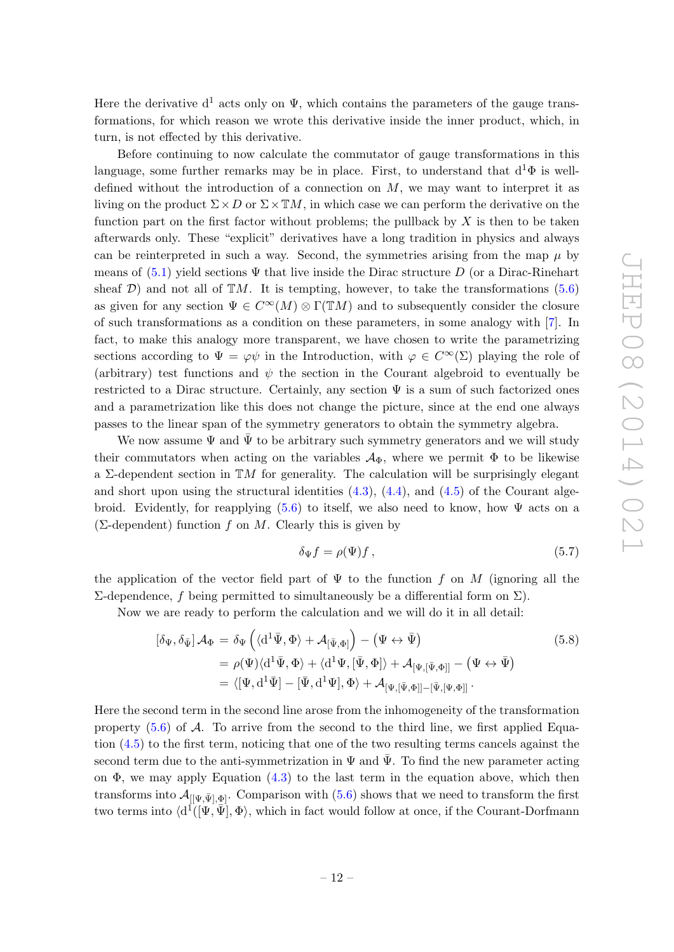Here the derivative  $d^1$  acts only on  $\Psi$ , which contains the parameters of the gauge transformations, for which reason we wrote this derivative inside the inner product, which, in turn, is not effected by this derivative.

Before continuing to now calculate the commutator of gauge transformations in this language, some further remarks may be in place. First, to understand that  $d^1\Phi$  is welldefined without the introduction of a connection on  $M$ , we may want to interpret it as living on the product  $\Sigma \times D$  or  $\Sigma \times \mathbb{T}M$ , in which case we can perform the derivative on the function part on the first factor without problems; the pullback by  $X$  is then to be taken afterwards only. These "explicit" derivatives have a long tradition in physics and always can be reinterpreted in such a way. Second, the symmetries arising from the map  $\mu$  by means of  $(5.1)$  yield sections  $\Psi$  that live inside the Dirac structure D (or a Dirac-Rinehart sheaf  $\mathcal{D}$ ) and not all of  $\mathbb{T}M$ . It is tempting, however, to take the transformations [\(5.6\)](#page-11-0) as given for any section  $\Psi \in C^{\infty}(M) \otimes \Gamma(TM)$  and to subsequently consider the closure of such transformations as a condition on these parameters, in some analogy with [\[7\]](#page-20-5). In fact, to make this analogy more transparent, we have chosen to write the parametrizing sections according to  $\Psi = \varphi \psi$  in the Introduction, with  $\varphi \in C^{\infty}(\Sigma)$  playing the role of (arbitrary) test functions and  $\psi$  the section in the Courant algebroid to eventually be restricted to a Dirac structure. Certainly, any section  $\Psi$  is a sum of such factorized ones and a parametrization like this does not change the picture, since at the end one always passes to the linear span of the symmetry generators to obtain the symmetry algebra.

We now assume  $\Psi$  and  $\bar{\Psi}$  to be arbitrary such symmetry generators and we will study their commutators when acting on the variables  $\mathcal{A}_{\Phi}$ , where we permit  $\Phi$  to be likewise a  $\Sigma$ -dependent section in TM for generality. The calculation will be surprisingly elegant and short upon using the structural identities  $(4.3)$ ,  $(4.4)$ , and  $(4.5)$  of the Courant alge-broid. Evidently, for reapplying [\(5.6\)](#page-11-0) to itself, we also need to know, how  $\Psi$  acts on a ( $\Sigma$ -dependent) function f on M. Clearly this is given by

<span id="page-12-0"></span>
$$
\delta_{\Psi} f = \rho(\Psi) f , \qquad (5.7)
$$

the application of the vector field part of  $\Psi$  to the function f on M (ignoring all the Σ-dependence, f being permitted to simultaneously be a differential form on Σ).

Now we are ready to perform the calculation and we will do it in all detail:

$$
[\delta_{\Psi}, \delta_{\bar{\Psi}}] \mathcal{A}_{\Phi} = \delta_{\Psi} \left( \langle d^1 \bar{\Psi}, \Phi \rangle + \mathcal{A}_{[\bar{\Psi}, \Phi]} \right) - (\Psi \leftrightarrow \bar{\Psi})
$$
  
\n
$$
= \rho(\Psi) \langle d^1 \bar{\Psi}, \Phi \rangle + \langle d^1 \Psi, [\bar{\Psi}, \Phi] \rangle + \mathcal{A}_{[\Psi, [\bar{\Psi}, \Phi]]} - (\Psi \leftrightarrow \bar{\Psi})
$$
  
\n
$$
= \langle [\Psi, d^1 \bar{\Psi}] - [\bar{\Psi}, d^1 \Psi], \Phi \rangle + \mathcal{A}_{[\Psi, [\bar{\Psi}, \Phi]] - [\bar{\Psi}, [\Psi, \Phi]]}.
$$
\n(5.8)

Here the second term in the second line arose from the inhomogeneity of the transformation property  $(5.6)$  of A. To arrive from the second to the third line, we first applied Equation [\(4.5\)](#page-7-5) to the first term, noticing that one of the two resulting terms cancels against the second term due to the anti-symmetrization in  $\Psi$  and  $\Psi$ . To find the new parameter acting on  $\Phi$ , we may apply Equation [\(4.3\)](#page-7-1) to the last term in the equation above, which then transforms into  $\mathcal{A}_{[[\Psi,\bar{\Psi}],\Phi]}$ . Comparison with [\(5.6\)](#page-11-0) shows that we need to transform the first two terms into  $\langle d^{\hat{\perp}}([\Psi, \bar{\Psi}], \Phi \rangle)$ , which in fact would follow at once, if the Courant-Dorfmann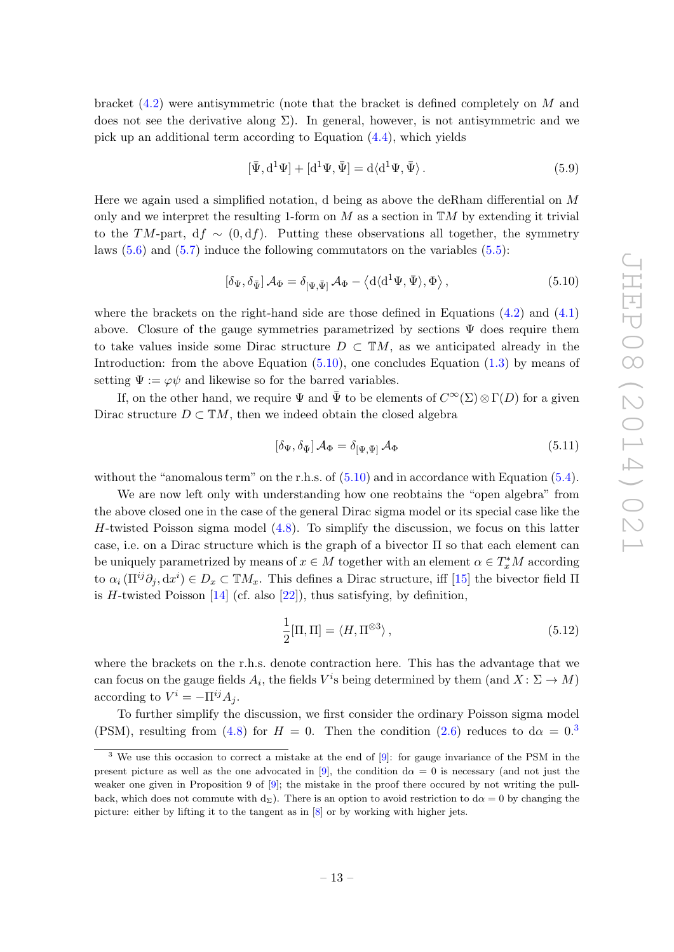bracket  $(4.2)$  were antisymmetric (note that the bracket is defined completely on M and does not see the derivative along  $\Sigma$ ). In general, however, is not antisymmetric and we pick up an additional term according to Equation [\(4.4\)](#page-7-4), which yields

$$
[\bar{\Psi}, d^1\Psi] + [d^1\Psi, \bar{\Psi}] = d\langle d^1\Psi, \bar{\Psi}\rangle.
$$
\n(5.9)

Here we again used a simplified notation, d being as above the deRham differential on M only and we interpret the resulting 1-form on  $M$  as a section in  $TM$  by extending it trivial to the TM-part, df  $\sim$  (0, df). Putting these observations all together, the symmetry laws  $(5.6)$  and  $(5.7)$  induce the following commutators on the variables  $(5.5)$ :

<span id="page-13-0"></span>
$$
\left[\delta_{\Psi}, \delta_{\bar{\Psi}}\right] \mathcal{A}_{\Phi} = \delta_{\left[\Psi, \bar{\Psi}\right]} \mathcal{A}_{\Phi} - \left\langle d \langle d^1 \Psi, \bar{\Psi} \rangle, \Phi \right\rangle, \tag{5.10}
$$

where the brackets on the right-hand side are those defined in Equations  $(4.2)$  and  $(4.1)$ above. Closure of the gauge symmetries parametrized by sections  $\Psi$  does require them to take values inside some Dirac structure  $D \subset \mathbb{T}M$ , as we anticipated already in the Introduction: from the above Equation  $(5.10)$ , one concludes Equation  $(1.3)$  by means of setting  $\Psi := \varphi \psi$  and likewise so for the barred variables.

If, on the other hand, we require  $\Psi$  and  $\bar{\Psi}$  to be elements of  $C^{\infty}(\Sigma) \otimes \Gamma(D)$  for a given Dirac structure  $D \subset \mathbb{T}M$ , then we indeed obtain the closed algebra

<span id="page-13-2"></span>
$$
[\delta_{\Psi}, \delta_{\bar{\Psi}}] \mathcal{A}_{\Phi} = \delta_{[\Psi, \bar{\Psi}]} \mathcal{A}_{\Phi}
$$
\n(5.11)

without the "anomalous term" on the r.h.s. of  $(5.10)$  and in accordance with Equation  $(5.4)$ .

We are now left only with understanding how one reobtains the "open algebra" from the above closed one in the case of the general Dirac sigma model or its special case like the H-twisted Poisson sigma model  $(4.8)$ . To simplify the discussion, we focus on this latter case, i.e. on a Dirac structure which is the graph of a bivector Π so that each element can be uniquely parametrized by means of  $x \in M$  together with an element  $\alpha \in T_x^*M$  according to  $\alpha_i(\Pi^{ij}\partial_j, dx^i) \in D_x \subset \mathbb{T}M_x$ . This defines a Dirac structure, iff [\[15\]](#page-21-4) the bivector field  $\Pi$ is H-twisted Poisson  $[14]$  (cf. also  $[22]$ ), thus satisfying, by definition,

$$
\frac{1}{2}[\Pi, \Pi] = \langle H, \Pi^{\otimes 3} \rangle, \qquad (5.12)
$$

where the brackets on the r.h.s. denote contraction here. This has the advantage that we can focus on the gauge fields  $A_i$ , the fields  $V^i$ s being determined by them  $(\text{and } X \colon \Sigma \to M)$ according to  $V^i = -\Pi^{ij} A_j$ .

To further simplify the discussion, we first consider the ordinary Poisson sigma model (PSM), resulting from [\(4.8\)](#page-8-0) for  $H = 0$ . Then the condition [\(2.6\)](#page-4-2) reduces to  $d\alpha = 0.3$  $d\alpha = 0.3$ 

<span id="page-13-1"></span><sup>3</sup> We use this occasion to correct a mistake at the end of [\[9\]](#page-20-7): for gauge invariance of the PSM in the present picture as well as the one advocated in [\[9\]](#page-20-7), the condition  $d\alpha = 0$  is necessary (and not just the weaker one given in Proposition 9 of [\[9\]](#page-20-7); the mistake in the proof there occured by not writing the pullback, which does not commute with d<sub>Σ</sub>). There is an option to avoid restriction to d $\alpha = 0$  by changing the picture: either by lifting it to the tangent as in [\[8\]](#page-20-6) or by working with higher jets.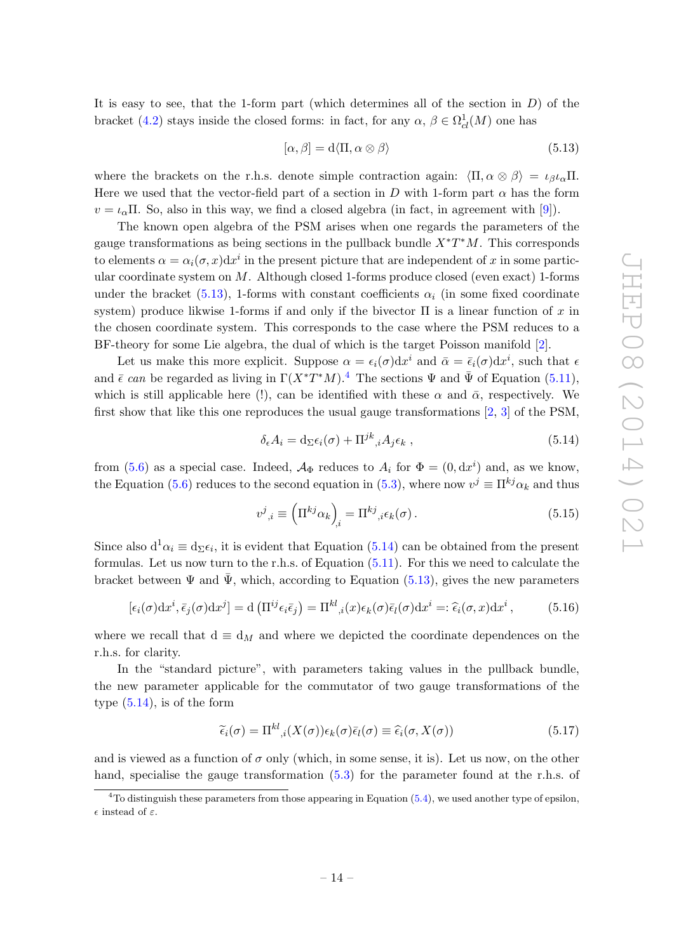It is easy to see, that the 1-form part (which determines all of the section in  $D$ ) of the bracket [\(4.2\)](#page-7-0) stays inside the closed forms: in fact, for any  $\alpha, \beta \in \Omega^1_{cl}(M)$  one has

<span id="page-14-0"></span>
$$
[\alpha, \beta] = d\langle \Pi, \alpha \otimes \beta \rangle \tag{5.13}
$$

where the brackets on the r.h.s. denote simple contraction again:  $\langle \Pi, \alpha \otimes \beta \rangle = \iota_{\beta} \iota_{\alpha} \Pi$ . Here we used that the vector-field part of a section in D with 1-form part  $\alpha$  has the form  $v = \iota_{\alpha} \Pi$ . So, also in this way, we find a closed algebra (in fact, in agreement with [\[9\]](#page-20-7)).

The known open algebra of the PSM arises when one regards the parameters of the gauge transformations as being sections in the pullback bundle  $X^*T^*M$ . This corresponds to elements  $\alpha = \alpha_i(\sigma, x) dx^i$  in the present picture that are independent of x in some particular coordinate system on  $M$ . Although closed 1-forms produce closed (even exact) 1-forms under the bracket [\(5.13\)](#page-14-0), 1-forms with constant coefficients  $\alpha_i$  (in some fixed coordinate system) produce likwise 1-forms if and only if the bivector  $\Pi$  is a linear function of x in the chosen coordinate system. This corresponds to the case where the PSM reduces to a BF-theory for some Lie algebra, the dual of which is the target Poisson manifold [\[2\]](#page-20-1).

Let us make this more explicit. Suppose  $\alpha = \epsilon_i(\sigma) dx^i$  and  $\bar{\alpha} = \bar{\epsilon}_i(\sigma) dx^i$ , such that  $\epsilon$ and  $\bar{\epsilon}$  can be regarded as living in  $\Gamma(X^*T^*M)$ .<sup>[4](#page-14-1)</sup> The sections  $\Psi$  and  $\bar{\Psi}$  of Equation ([5.11\)](#page-13-2), which is still applicable here (!), can be identified with these  $\alpha$  and  $\bar{\alpha}$ , respectively. We first show that like this one reproduces the usual gauge transformations [\[2,](#page-20-1) [3\]](#page-20-9) of the PSM,

<span id="page-14-2"></span>
$$
\delta_{\epsilon} A_i = \mathrm{d}_{\Sigma} \epsilon_i(\sigma) + \Pi^{jk}{}_{,i} A_j \epsilon_k , \qquad (5.14)
$$

from [\(5.6\)](#page-11-0) as a special case. Indeed,  $\mathcal{A}_{\Phi}$  reduces to  $A_i$  for  $\Phi = (0, dx^i)$  and, as we know, the Equation [\(5.6\)](#page-11-0) reduces to the second equation in [\(5.3\)](#page-11-3), where now  $v^j \equiv \prod^{kj} \alpha_k$  and thus

$$
v^{j}{}_{,i} \equiv \left(\Pi^{kj}\alpha_{k}\right)_{,i} = \Pi^{kj}{}_{,i}\epsilon_{k}(\sigma). \tag{5.15}
$$

Since also  $d^1\alpha_i \equiv d_{\Sigma}\epsilon_i$ , it is evident that Equation [\(5.14\)](#page-14-2) can be obtained from the present formulas. Let us now turn to the r.h.s. of Equation [\(5.11\)](#page-13-2). For this we need to calculate the bracket between  $\Psi$  and  $\bar{\Psi}$ , which, according to Equation ([5.13\)](#page-14-0), gives the new parameters

<span id="page-14-3"></span>
$$
[\epsilon_i(\sigma)dx^i, \bar{\epsilon}_j(\sigma)dx^j] = d\left(\Pi^{ij}\epsilon_i\bar{\epsilon}_j\right) = \Pi^{kl}_{\phantom{kl},i}(x)\epsilon_k(\sigma)\bar{\epsilon}_l(\sigma)dx^i =: \hat{\epsilon}_i(\sigma, x)dx^i, \tag{5.16}
$$

where we recall that  $d \equiv d_M$  and where we depicted the coordinate dependences on the r.h.s. for clarity.

In the "standard picture", with parameters taking values in the pullback bundle, the new parameter applicable for the commutator of two gauge transformations of the type  $(5.14)$ , is of the form

<span id="page-14-4"></span>
$$
\widetilde{\epsilon}_i(\sigma) = \Pi^{kl}_{\ \ ,i}(X(\sigma))\epsilon_k(\sigma)\overline{\epsilon}_l(\sigma) \equiv \widehat{\epsilon}_i(\sigma,X(\sigma)) \tag{5.17}
$$

and is viewed as a function of  $\sigma$  only (which, in some sense, it is). Let us now, on the other hand, specialise the gauge transformation  $(5.3)$  for the parameter found at the r.h.s. of

<span id="page-14-1"></span> $4$ To distinguish these parameters from those appearing in Equation  $(5.4)$ , we used another type of epsilon,  $\epsilon$  instead of  $\varepsilon$ .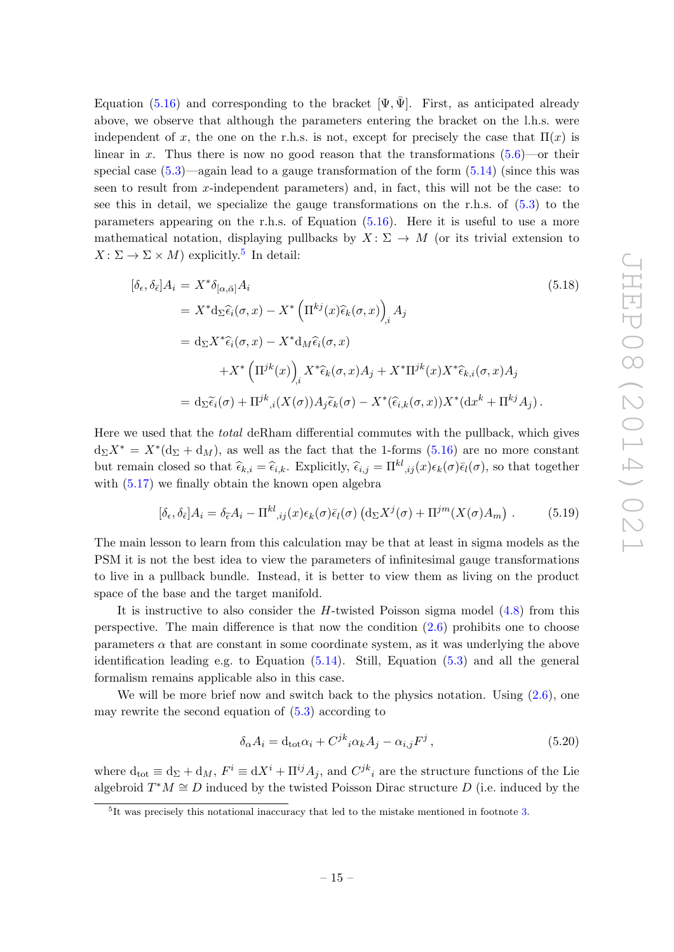Equation [\(5.16\)](#page-14-3) and corresponding to the bracket  $[\Psi, \bar{\Psi}]$ . First, as anticipated already above, we observe that although the parameters entering the bracket on the l.h.s. were independent of x, the one on the r.h.s. is not, except for precisely the case that  $\Pi(x)$  is linear in x. Thus there is now no good reason that the transformations  $(5.6)$ —or their special case  $(5.3)$ —again lead to a gauge transformation of the form  $(5.14)$  (since this was seen to result from  $x$ -independent parameters) and, in fact, this will not be the case: to see this in detail, we specialize the gauge transformations on the r.h.s. of  $(5.3)$  to the parameters appearing on the r.h.s. of Equation [\(5.16\)](#page-14-3). Here it is useful to use a more mathematical notation, displaying pullbacks by  $X: \Sigma \to M$  (or its trivial extension to  $X: \Sigma \to \Sigma \times M$  explicitly.<sup>[5](#page-15-0)</sup> In detail:

$$
[\delta_{\epsilon}, \delta_{\bar{\epsilon}}]A_i = X^* \delta_{[\alpha, \bar{\alpha}]} A_i
$$
\n
$$
= X^* d_{\Sigma} \hat{\epsilon}_i(\sigma, x) - X^* \left(\Pi^{kj}(x) \hat{\epsilon}_k(\sigma, x)\right)_i A_j
$$
\n
$$
= d_{\Sigma} X^* \hat{\epsilon}_i(\sigma, x) - X^* d_M \hat{\epsilon}_i(\sigma, x)
$$
\n
$$
+ X^* \left(\Pi^{jk}(x)\right)_i X^* \hat{\epsilon}_k(\sigma, x) A_j + X^* \Pi^{jk}(x) X^* \hat{\epsilon}_{k,i}(\sigma, x) A_j
$$
\n
$$
= d_{\Sigma} \tilde{\epsilon}_i(\sigma) + \Pi^{jk}_{i,i}(X(\sigma)) A_j \tilde{\epsilon}_k(\sigma) - X^* (\hat{\epsilon}_{i,k}(\sigma, x)) X^* (dx^k + \Pi^{kj} A_j).
$$
\n
$$
(5.18)
$$
\n
$$
(5.19)
$$

Here we used that the total deRham differential commutes with the pullback, which gives  $d_{\Sigma}X^* = X^*(d_{\Sigma} + d_M)$ , as well as the fact that the 1-forms [\(5.16\)](#page-14-3) are no more constant but remain closed so that  $\hat{\epsilon}_{k,i} = \hat{\epsilon}_{i,k}$ . Explicitly,  $\hat{\epsilon}_{i,j} = \Pi^{kl}{}_{ij}(x)\epsilon_k(\sigma)\bar{\epsilon}_l(\sigma)$ , so that together with  $(5.17)$  we finally obtain the known open algebra

<span id="page-15-1"></span>
$$
[\delta_{\epsilon}, \delta_{\bar{\epsilon}}]A_i = \delta_{\tilde{\epsilon}}A_i - \Pi^{kl}_{\ \ i j}(x)\epsilon_k(\sigma)\bar{\epsilon}_l(\sigma)\left(\mathrm{d}_{\Sigma}X^j(\sigma) + \Pi^{jm}(X(\sigma)A_m)\right). \tag{5.19}
$$

The main lesson to learn from this calculation may be that at least in sigma models as the PSM it is not the best idea to view the parameters of infinitesimal gauge transformations to live in a pullback bundle. Instead, it is better to view them as living on the product space of the base and the target manifold.

It is instructive to also consider the  $H$ -twisted Poisson sigma model  $(4.8)$  from this perspective. The main difference is that now the condition [\(2.6\)](#page-4-2) prohibits one to choose parameters  $\alpha$  that are constant in some coordinate system, as it was underlying the above identification leading e.g. to Equation  $(5.14)$ . Still, Equation  $(5.3)$  and all the general formalism remains applicable also in this case.

We will be more brief now and switch back to the physics notation. Using  $(2.6)$ , one may rewrite the second equation of  $(5.3)$  according to

$$
\delta_{\alpha} A_i = \mathrm{d}_{\mathrm{tot}} \alpha_i + C^{jk}{}_i \alpha_k A_j - \alpha_{i,j} F^j \,, \tag{5.20}
$$

where  $d_{\text{tot}} \equiv d_{\Sigma} + d_M$ ,  $F^i \equiv dX^i + \Pi^{ij} A_j$ , and  $C^{jk}{}_{i}$  are the structure functions of the Lie algebroid  $T^*M \cong D$  induced by the twisted Poisson Dirac structure D (i.e. induced by the

<span id="page-15-0"></span><sup>&</sup>lt;sup>5</sup>It was precisely this notational inaccuracy that led to the mistake mentioned in footnote [3.](#page-13-1)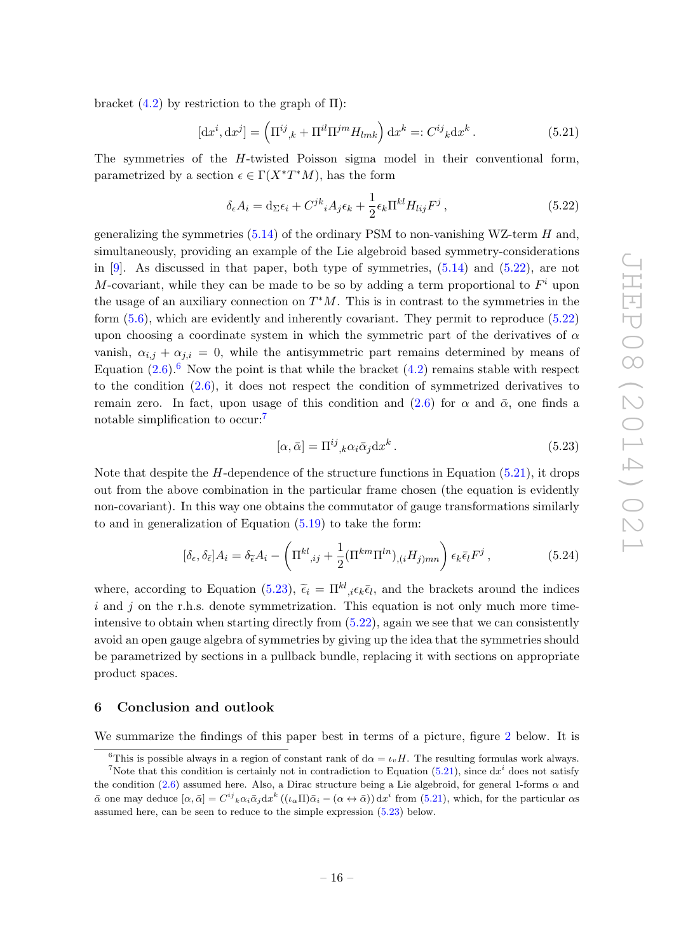bracket  $(4.2)$  by restriction to the graph of  $\Pi$ ):

<span id="page-16-4"></span>
$$
[dx^i, dx^j] = \left(\Pi^{ij}_{\phantom{ij},k} + \Pi^{il}\Pi^{jm}H_{lmk}\right)dx^k =: C^{ij}_{\phantom{ij}k}dx^k.
$$
\n(5.21)

The symmetries of the H-twisted Poisson sigma model in their conventional form, parametrized by a section  $\epsilon \in \Gamma(X^*T^*M)$ , has the form

<span id="page-16-1"></span>
$$
\delta_{\epsilon} A_i = \mathrm{d}_{\Sigma} \epsilon_i + C^{jk}{}_i A_j \epsilon_k + \frac{1}{2} \epsilon_k \Pi^{kl} H_{lij} F^j \,, \tag{5.22}
$$

generalizing the symmetries  $(5.14)$  of the ordinary PSM to non-vanishing WZ-term H and, simultaneously, providing an example of the Lie algebroid based symmetry-considerations in [\[9\]](#page-20-7). As discussed in that paper, both type of symmetries,  $(5.14)$  and  $(5.22)$ , are not M-covariant, while they can be made to be so by adding a term proportional to  $F^i$  upon the usage of an auxiliary connection on  $T^*M$ . This is in contrast to the symmetries in the form [\(5.6\)](#page-11-0), which are evidently and inherently covariant. They permit to reproduce [\(5.22\)](#page-16-1) upon choosing a coordinate system in which the symmetric part of the derivatives of  $\alpha$ vanish,  $\alpha_{i,j} + \alpha_{j,i} = 0$ , while the antisymmetric part remains determined by means of Equation  $(2.6)$  $(2.6)$  $(2.6)$ .<sup>6</sup> Now the point is that while the bracket  $(4.2)$  remains stable with respect to the condition [\(2.6\)](#page-4-2), it does not respect the condition of symmetrized derivatives to remain zero. In fact, upon usage of this condition and  $(2.6)$  for  $\alpha$  and  $\bar{\alpha}$ , one finds a notable simplification to occur:<sup>[7](#page-16-3)</sup>

<span id="page-16-5"></span>
$$
[\alpha, \bar{\alpha}] = \Pi^{ij}{}_{,k} \alpha_i \bar{\alpha}_j \mathrm{d}x^k \,. \tag{5.23}
$$

Note that despite the  $H$ -dependence of the structure functions in Equation [\(5.21\)](#page-16-4), it drops out from the above combination in the particular frame chosen (the equation is evidently non-covariant). In this way one obtains the commutator of gauge transformations similarly to and in generalization of Equation [\(5.19\)](#page-15-1) to take the form:

$$
[\delta_{\epsilon}, \delta_{\bar{\epsilon}}]A_i = \delta_{\tilde{\epsilon}}A_i - \left(\Pi^{kl}_{\ \ ,ij} + \frac{1}{2}(\Pi^{km}\Pi^{ln})_{,(i}H_{j)mn}\right)\epsilon_k\bar{\epsilon}_lF^j\,,\tag{5.24}
$$

where, according to Equation [\(5.23\)](#page-16-5),  $\tilde{\epsilon}_i = \Pi^{kl}{}_{i\,\epsilon} \epsilon_k \bar{\epsilon}_l$ , and the brackets around the indices  $i$  and  $j$  on the r.h.s. denote symmetrization. This equation is not only much more timeintensive to obtain when starting directly from [\(5.22\)](#page-16-1), again we see that we can consistently avoid an open gauge algebra of symmetries by giving up the idea that the symmetries should be parametrized by sections in a pullback bundle, replacing it with sections on appropriate product spaces.

#### <span id="page-16-0"></span>6 Conclusion and outlook

We summarize the findings of this paper best in terms of a picture, figure [2](#page-17-0) below. It is

<span id="page-16-3"></span><span id="page-16-2"></span><sup>&</sup>lt;sup>6</sup>This is possible always in a region of constant rank of  $d\alpha = \iota_v H$ . The resulting formulas work always.

<sup>&</sup>lt;sup>7</sup>Note that this condition is certainly not in contradiction to Equation [\(5.21\)](#page-16-4), since  $dx^i$  does not satisfy the condition [\(2.6\)](#page-4-2) assumed here. Also, a Dirac structure being a Lie algebroid, for general 1-forms  $\alpha$  and  $\bar{\alpha}$  one may deduce  $[\alpha, \bar{\alpha}] = C^{ij}{}_{k} \alpha_{i} \bar{\alpha}_{j} dx^{k} ((\iota_{\alpha} \Pi) \bar{\alpha}_{i} - (\alpha \leftrightarrow \bar{\alpha})) dx^{i}$  from [\(5.21\)](#page-16-4), which, for the particular  $\alpha s$ assumed here, can be seen to reduce to the simple expression [\(5.23\)](#page-16-5) below.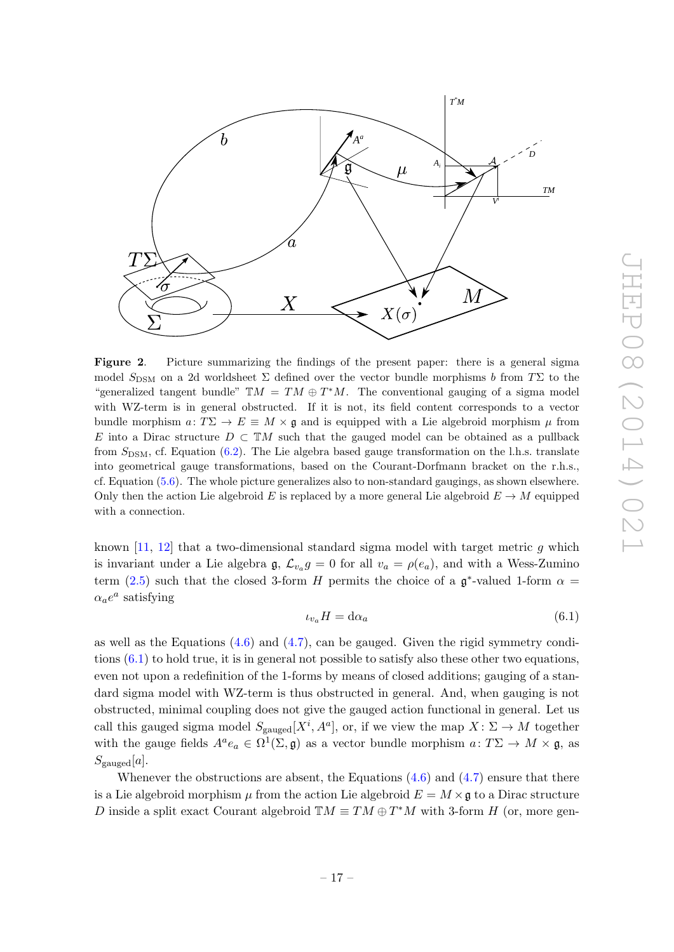

<span id="page-17-0"></span>Figure 2. Picture summarizing the findings of the present paper: there is a general sigma model  $S_{\text{DSM}}$  on a 2d worldsheet  $\Sigma$  defined over the vector bundle morphisms b from T $\Sigma$  to the "generalized tangent bundle"  $TM = TM \oplus T^*M$ . The conventional gauging of a sigma model with WZ-term is in general obstructed. If it is not, its field content corresponds to a vector bundle morphism  $a: T\Sigma \to E \equiv M \times \mathfrak{g}$  and is equipped with a Lie algebroid morphism  $\mu$  from E into a Dirac structure  $D \subset \mathbb{T}M$  such that the gauged model can be obtained as a pullback from  $S_{\text{DSM}}$ , cf. Equation [\(6.2\)](#page-18-0). The Lie algebra based gauge transformation on the l.h.s. translate into geometrical gauge transformations, based on the Courant-Dorfmann bracket on the r.h.s., cf. Equation [\(5.6\)](#page-11-0). The whole picture generalizes also to non-standard gaugings, as shown elsewhere. Only then the action Lie algebroid E is replaced by a more general Lie algebroid  $E \to M$  equipped with a connection.

known  $[11, 12]$  $[11, 12]$  that a two-dimensional standard sigma model with target metric q which is invariant under a Lie algebra  $\mathfrak{g}, \mathcal{L}_{v_a} g = 0$  for all  $v_a = \rho(e_a)$ , and with a Wess-Zumino term [\(2.5\)](#page-4-6) such that the closed 3-form H permits the choice of a  $\mathfrak{g}^*$ -valued 1-form  $\alpha =$  $\alpha_a e^a$  satisfying

<span id="page-17-1"></span>
$$
\iota_{v_a} H = \mathrm{d}\alpha_a \tag{6.1}
$$

as well as the Equations  $(4.6)$  and  $(4.7)$ , can be gauged. Given the rigid symmetry conditions  $(6.1)$  to hold true, it is in general not possible to satisfy also these other two equations, even not upon a redefinition of the 1-forms by means of closed additions; gauging of a standard sigma model with WZ-term is thus obstructed in general. And, when gauging is not obstructed, minimal coupling does not give the gauged action functional in general. Let us call this gauged sigma model  $S_{\text{gauged}}[X^i, A^a]$ , or, if we view the map  $X: \Sigma \to M$  together with the gauge fields  $A^a e_a \in \Omega^1(\Sigma, \mathfrak{g})$  as a vector bundle morphism  $a: T\Sigma \to M \times \mathfrak{g}$ , as  $S_{\text{gauged}}[a]$ .

Whenever the obstructions are absent, the Equations  $(4.6)$  and  $(4.7)$  ensure that there is a Lie algebroid morphism  $\mu$  from the action Lie algebroid  $E = M \times \mathfrak{g}$  to a Dirac structure D inside a split exact Courant algebroid  $\mathbb{T}M \equiv TM \oplus T^*M$  with 3-form H (or, more gen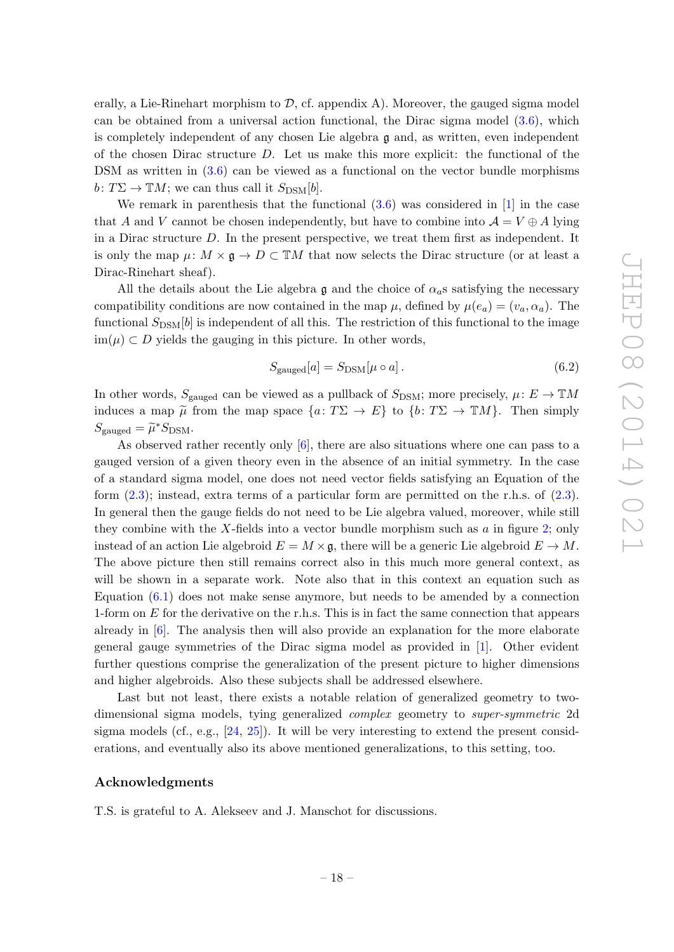erally, a Lie-Rinehart morphism to  $\mathcal{D}$ , cf. appendix A). Moreover, the gauged sigma model can be obtained from a universal action functional, the Dirac sigma model [\(3.6\)](#page-5-5), which is completely independent of any chosen Lie algebra  $\mathfrak g$  and, as written, even independent of the chosen Dirac structure  $D$ . Let us make this more explicit: the functional of the DSM as written in  $(3.6)$  can be viewed as a functional on the vector bundle morphisms  $b: T\Sigma \to \mathbb{T}M$ ; we can thus call it  $S_{\text{DSM}}[b]$ .

We remark in parenthesis that the functional  $(3.6)$  was considered in [\[1\]](#page-20-0) in the case that A and V cannot be chosen independently, but have to combine into  $\mathcal{A} = V \oplus A$  lying in a Dirac structure D. In the present perspective, we treat them first as independent. It is only the map  $\mu: M \times \mathfrak{g} \to D \subset \mathbb{T}M$  that now selects the Dirac structure (or at least a Dirac-Rinehart sheaf).

All the details about the Lie algebra  $\mathfrak g$  and the choice of  $\alpha_a$ s satisfying the necessary compatibility conditions are now contained in the map  $\mu$ , defined by  $\mu(e_a) = (v_a, \alpha_a)$ . The functional  $S_{\text{DSM}}[b]$  is independent of all this. The restriction of this functional to the image im( $\mu$ ) ⊂ D yields the gauging in this picture. In other words,

<span id="page-18-0"></span>
$$
S_{\text{gauged}}[a] = S_{\text{DSM}}[\mu \circ a]. \tag{6.2}
$$

In other words,  $S_{\text{gauged}}$  can be viewed as a pullback of  $S_{\text{DSM}}$ ; more precisely,  $\mu: E \to \mathbb{T}M$ induces a map  $\tilde{\mu}$  from the map space  $\{a: T\Sigma \to E\}$  to  $\{b: T\Sigma \to \mathbb{T}M\}$ . Then simply  $S_{\text{gauged}} = \widetilde{\mu}^* S_{\text{DSM}}.$ 

As observed rather recently only [\[6\]](#page-20-4), there are also situations where one can pass to a gauged version of a given theory even in the absence of an initial symmetry. In the case of a standard sigma model, one does not need vector fields satisfying an Equation of the form  $(2.3)$ ; instead, extra terms of a particular form are permitted on the r.h.s. of  $(2.3)$ . In general then the gauge fields do not need to be Lie algebra valued, moreover, while still they combine with the X-fields into a vector bundle morphism such as a in figure [2;](#page-17-0) only instead of an action Lie algebroid  $E = M \times \mathfrak{g}$ , there will be a generic Lie algebroid  $E \to M$ . The above picture then still remains correct also in this much more general context, as will be shown in a separate work. Note also that in this context an equation such as Equation  $(6.1)$  does not make sense anymore, but needs to be amended by a connection 1-form on  $E$  for the derivative on the r.h.s. This is in fact the same connection that appears already in [\[6\]](#page-20-4). The analysis then will also provide an explanation for the more elaborate general gauge symmetries of the Dirac sigma model as provided in [\[1\]](#page-20-0). Other evident further questions comprise the generalization of the present picture to higher dimensions and higher algebroids. Also these subjects shall be addressed elsewhere.

Last but not least, there exists a notable relation of generalized geometry to twodimensional sigma models, tying generalized complex geometry to super-symmetric 2d sigma models (cf., e.g.,  $[24, 25]$  $[24, 25]$ ). It will be very interesting to extend the present considerations, and eventually also its above mentioned generalizations, to this setting, too.

#### Acknowledgments

T.S. is grateful to A. Alekseev and J. Manschot for discussions.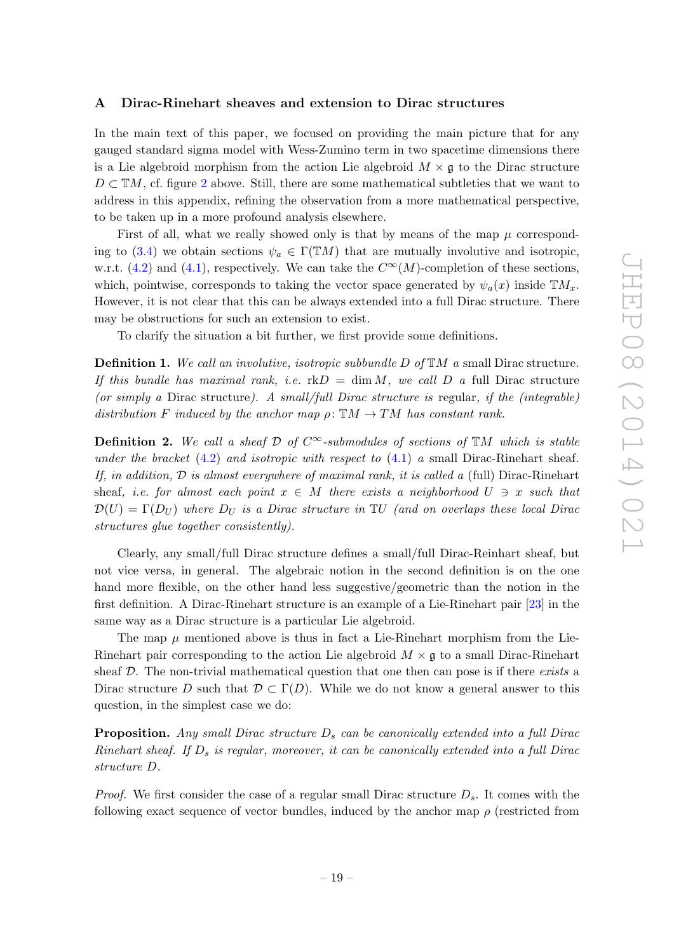## <span id="page-19-0"></span>A Dirac-Rinehart sheaves and extension to Dirac structures

In the main text of this paper, we focused on providing the main picture that for any gauged standard sigma model with Wess-Zumino term in two spacetime dimensions there is a Lie algebroid morphism from the action Lie algebroid  $M \times \mathfrak{g}$  to the Dirac structure  $D \subset \mathbb{T}M$ , cf. figure [2](#page-17-0) above. Still, there are some mathematical subtleties that we want to address in this appendix, refining the observation from a more mathematical perspective, to be taken up in a more profound analysis elsewhere.

First of all, what we really showed only is that by means of the map  $\mu$  correspond-ing to [\(3.4\)](#page-5-3) we obtain sections  $\psi_a \in \Gamma(TM)$  that are mutually involutive and isotropic, w.r.t. [\(4.2\)](#page-7-0) and [\(4.1\)](#page-7-0), respectively. We can take the  $C^{\infty}(M)$ -completion of these sections, which, pointwise, corresponds to taking the vector space generated by  $\psi_a(x)$  inside  $\mathbb{T}M_x$ . However, it is not clear that this can be always extended into a full Dirac structure. There may be obstructions for such an extension to exist.

To clarify the situation a bit further, we first provide some definitions.

**Definition 1.** We call an involutive, isotropic subbundle  $D$  of  $TM$  a small Dirac structure. If this bundle has maximal rank, i.e.  $\text{rk}D = \dim M$ , we call D a full Dirac structure (or simply a Dirac structure). A small/full Dirac structure is regular, if the (integrable) distribution F induced by the anchor map  $\rho: \mathbb{T}M \to TM$  has constant rank.

**Definition 2.** We call a sheaf  $D$  of  $C^{\infty}$ -submodules of sections of  $TM$  which is stable under the bracket  $(4.2)$  and isotropic with respect to  $(4.1)$  a small Dirac-Rinehart sheaf. If, in addition,  $D$  is almost everywhere of maximal rank, it is called a (full) Dirac-Rinehart sheaf, *i.e.* for almost each point  $x \in M$  there exists a neighborhood  $U \ni x$  such that  $\mathcal{D}(U) = \Gamma(D_U)$  where  $D_U$  is a Dirac structure in  $\mathbb{T}U$  (and on overlaps these local Dirac structures glue together consistently).

Clearly, any small/full Dirac structure defines a small/full Dirac-Reinhart sheaf, but not vice versa, in general. The algebraic notion in the second definition is on the one hand more flexible, on the other hand less suggestive/geometric than the notion in the first definition. A Dirac-Rinehart structure is an example of a Lie-Rinehart pair [\[23\]](#page-21-14) in the same way as a Dirac structure is a particular Lie algebroid.

The map  $\mu$  mentioned above is thus in fact a Lie-Rinehart morphism from the Lie-Rinehart pair corresponding to the action Lie algebroid  $M \times \mathfrak{g}$  to a small Dirac-Rinehart sheaf  $D$ . The non-trivial mathematical question that one then can pose is if there exists a Dirac structure D such that  $\mathcal{D} \subset \Gamma(D)$ . While we do not know a general answer to this question, in the simplest case we do:

**Proposition.** Any small Dirac structure  $D_s$  can be canonically extended into a full Dirac Rinehart sheaf. If  $D_s$  is regular, moreover, it can be canonically extended into a full Dirac structure D.

*Proof.* We first consider the case of a regular small Dirac structure  $D_s$ . It comes with the following exact sequence of vector bundles, induced by the anchor map  $\rho$  (restricted from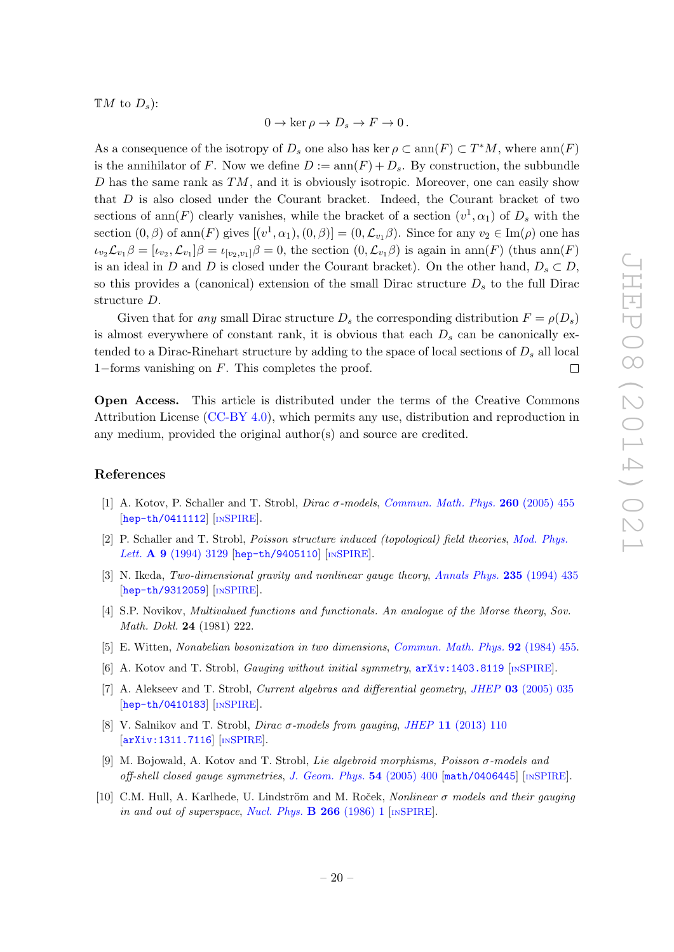$\mathbb{T}M$  to  $D_s$ :

$$
0 \to \ker \rho \to D_s \to F \to 0.
$$

As a consequence of the isotropy of  $D_s$  one also has ker  $\rho \subset \text{ann}(F) \subset T^*M$ , where  $\text{ann}(F)$ is the annihilator of F. Now we define  $D := \text{ann}(F) + D_s$ . By construction, the subbundle D has the same rank as  $TM$ , and it is obviously isotropic. Moreover, one can easily show that D is also closed under the Courant bracket. Indeed, the Courant bracket of two sections of ann(F) clearly vanishes, while the bracket of a section  $(v^1, \alpha_1)$  of  $D_s$  with the section  $(0, \beta)$  of ann $(F)$  gives  $[(v^1, \alpha_1), (0, \beta)] = (0, \mathcal{L}_{v_1} \beta)$ . Since for any  $v_2 \in \text{Im}(\rho)$  one has  $\iota_{v_2}\mathcal{L}_{v_1}\beta=[\iota_{v_2},\mathcal{L}_{v_1}]\beta=\iota_{[v_2,v_1]}\beta=0$ , the section  $(0,\mathcal{L}_{v_1}\beta)$  is again in ann $(F)$  (thus ann $(F)$ ) is an ideal in D and D is closed under the Courant bracket). On the other hand,  $D_s \subset D$ , so this provides a (canonical) extension of the small Dirac structure  $D<sub>s</sub>$  to the full Dirac structure D.

Given that for any small Dirac structure  $D_s$  the corresponding distribution  $F = \rho(D_s)$ is almost everywhere of constant rank, it is obvious that each  $D_s$  can be canonically extended to a Dirac-Rinehart structure by adding to the space of local sections of  $D_s$  all local 1−forms vanishing on F. This completes the proof.  $\Box$ 

Open Access. This article is distributed under the terms of the Creative Commons Attribution License [\(CC-BY 4.0\)](http://creativecommons.org/licenses/by/4.0/), which permits any use, distribution and reproduction in any medium, provided the original author(s) and source are credited.

## References

- <span id="page-20-0"></span>[1] A. Kotov, P. Schaller and T. Strobl, Dirac σ-models, [Commun. Math. Phys.](http://dx.doi.org/10.1007/s00220-005-1416-4) 260 (2005) 455 [[hep-th/0411112](http://arxiv.org/abs/hep-th/0411112)] [IN[SPIRE](http://inspirehep.net/search?p=find+EPRINT+hep-th/0411112)].
- <span id="page-20-1"></span>[2] P. Schaller and T. Strobl, Poisson structure induced (topological) field theories, [Mod. Phys.](http://dx.doi.org/10.1142/S0217732394002951) Lett. A 9 [\(1994\) 3129](http://dx.doi.org/10.1142/S0217732394002951) [[hep-th/9405110](http://arxiv.org/abs/hep-th/9405110)] [IN[SPIRE](http://inspirehep.net/search?p=find+EPRINT+hep-th/9405110)].
- <span id="page-20-9"></span>[3] N. Ikeda, Two-dimensional gravity and nonlinear gauge theory, [Annals Phys.](http://dx.doi.org/10.1006/aphy.1994.1104) 235 (1994) 435 [[hep-th/9312059](http://arxiv.org/abs/hep-th/9312059)] [IN[SPIRE](http://inspirehep.net/search?p=find+EPRINT+hep-th/9312059)].
- <span id="page-20-2"></span>[4] S.P. Novikov, Multivalued functions and functionals. An analogue of the Morse theory, Sov. Math. Dokl. 24 (1981) 222.
- <span id="page-20-3"></span>[5] E. Witten, Nonabelian bosonization in two dimensions, [Commun. Math. Phys.](http://dx.doi.org/10.1007/BF01215276) 92 (1984) 455.
- <span id="page-20-4"></span>[6] A. Kotov and T. Strobl, Gauging without initial symmetry, [arXiv:1403.8119](http://arxiv.org/abs/1403.8119) [IN[SPIRE](http://inspirehep.net/search?p=find+EPRINT+arXiv:1403.8119)].
- <span id="page-20-5"></span>[7] A. Alekseev and T. Strobl, *Current algebras and differential geometry, JHEP* 03 [\(2005\) 035](http://dx.doi.org/10.1088/1126-6708/2005/03/035) [[hep-th/0410183](http://arxiv.org/abs/hep-th/0410183)] [IN[SPIRE](http://inspirehep.net/search?p=find+EPRINT+hep-th/0410183)].
- <span id="page-20-6"></span>[8] V. Salnikov and T. Strobl, *Dirac σ-models from qauging, JHEP* 11 [\(2013\) 110](http://dx.doi.org/10.1007/JHEP11(2013)110) [[arXiv:1311.7116](http://arxiv.org/abs/1311.7116)] [IN[SPIRE](http://inspirehep.net/search?p=find+J+JHEP,1311,110)].
- <span id="page-20-7"></span>[9] M. Bojowald, A. Kotov and T. Strobl, Lie algebroid morphisms, Poisson σ-models and off-shell closed gauge symmetries, [J. Geom. Phys.](http://dx.doi.org/10.1016/j.geomphys.2004.11.002) 54 (2005) 400 [[math/0406445](http://arxiv.org/abs/math/0406445)] [IN[SPIRE](http://inspirehep.net/search?p=find+EPRINT+math/0406445)].
- <span id="page-20-8"></span>[10] C.M. Hull, A. Karlhede, U. Lindström and M. Roček, Nonlinear σ models and their gauging in and out of superspace, [Nucl. Phys.](http://dx.doi.org/10.1016/0550-3213(86)90175-6)  $\bf{B}$  266 (1986) 1 [IN[SPIRE](http://inspirehep.net/search?p=find+J+Nucl.Phys.,B266,1)].